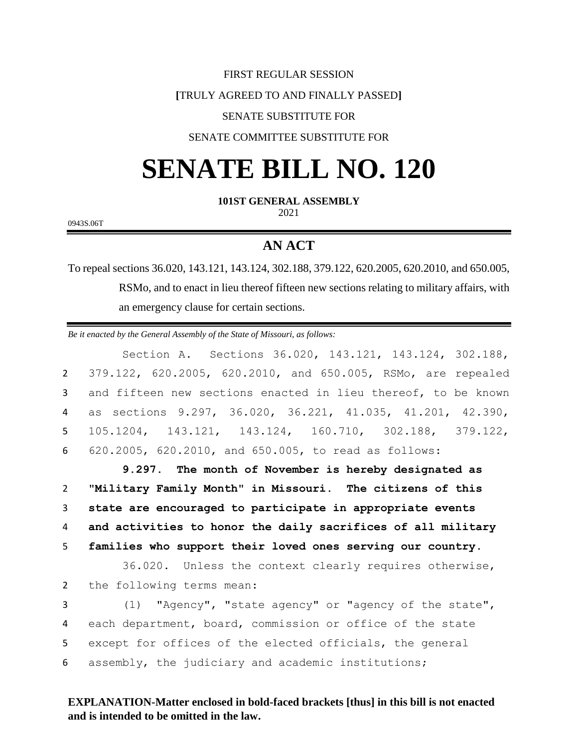#### FIRST REGULAR SESSION

## **[**TRULY AGREED TO AND FINALLY PASSED**]**

## SENATE SUBSTITUTE FOR

## SENATE COMMITTEE SUBSTITUTE FOR

# **SENATE BILL NO. 120**

**101ST GENERAL ASSEMBLY**

2021

0943S.06T

## **AN ACT**

To repeal sections 36.020, 143.121, 143.124, 302.188, 379.122, 620.2005, 620.2010, and 650.005, RSMo, and to enact in lieu thereof fifteen new sections relating to military affairs, with an emergency clause for certain sections.

*Be it enacted by the General Assembly of the State of Missouri, as follows:*

Section A. Sections 36.020, 143.121, 143.124, 302.188, 379.122, 620.2005, 620.2010, and 650.005, RSMo, are repealed and fifteen new sections enacted in lieu thereof, to be known as sections 9.297, 36.020, 36.221, 41.035, 41.201, 42.390, 105.1204, 143.121, 143.124, 160.710, 302.188, 379.122, 620.2005, 620.2010, and 650.005, to read as follows:

 **9.297. The month of November is hereby designated as "Military Family Month" in Missouri. The citizens of this state are encouraged to participate in appropriate events and activities to honor the daily sacrifices of all military families who support their loved ones serving our country.**

36.020. Unless the context clearly requires otherwise, 2 the following terms mean:

 (1) "Agency", "state agency" or "agency of the state", each department, board, commission or office of the state except for offices of the elected officials, the general assembly, the judiciary and academic institutions;

## **EXPLANATION-Matter enclosed in bold-faced brackets [thus] in this bill is not enacted and is intended to be omitted in the law.**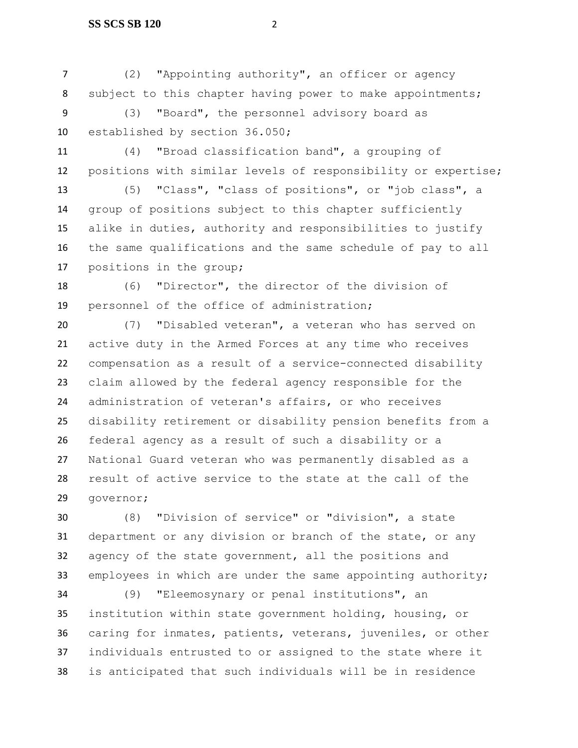(2) "Appointing authority", an officer or agency 8 subject to this chapter having power to make appointments; (3) "Board", the personnel advisory board as established by section 36.050;

 (4) "Broad classification band", a grouping of positions with similar levels of responsibility or expertise;

 (5) "Class", "class of positions", or "job class", a group of positions subject to this chapter sufficiently alike in duties, authority and responsibilities to justify the same qualifications and the same schedule of pay to all positions in the group;

 (6) "Director", the director of the division of personnel of the office of administration;

 (7) "Disabled veteran", a veteran who has served on active duty in the Armed Forces at any time who receives compensation as a result of a service-connected disability claim allowed by the federal agency responsible for the administration of veteran's affairs, or who receives disability retirement or disability pension benefits from a federal agency as a result of such a disability or a National Guard veteran who was permanently disabled as a result of active service to the state at the call of the governor;

 (8) "Division of service" or "division", a state department or any division or branch of the state, or any agency of the state government, all the positions and 33 employees in which are under the same appointing authority;

 (9) "Eleemosynary or penal institutions", an institution within state government holding, housing, or caring for inmates, patients, veterans, juveniles, or other individuals entrusted to or assigned to the state where it is anticipated that such individuals will be in residence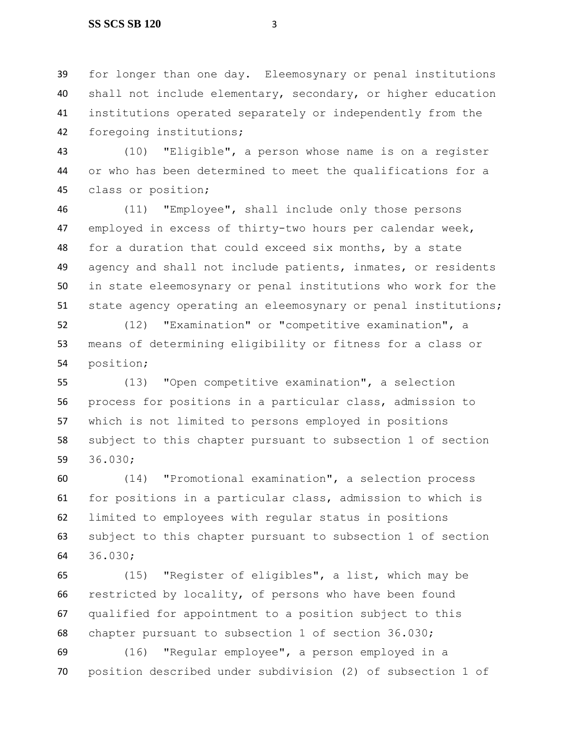#### **SS SCS SB 120** 3

 for longer than one day. Eleemosynary or penal institutions shall not include elementary, secondary, or higher education institutions operated separately or independently from the foregoing institutions;

 (10) "Eligible", a person whose name is on a register or who has been determined to meet the qualifications for a class or position;

 (11) "Employee", shall include only those persons employed in excess of thirty-two hours per calendar week, for a duration that could exceed six months, by a state agency and shall not include patients, inmates, or residents in state eleemosynary or penal institutions who work for the state agency operating an eleemosynary or penal institutions;

 (12) "Examination" or "competitive examination", a means of determining eligibility or fitness for a class or position;

 (13) "Open competitive examination", a selection process for positions in a particular class, admission to which is not limited to persons employed in positions subject to this chapter pursuant to subsection 1 of section 36.030;

 (14) "Promotional examination", a selection process for positions in a particular class, admission to which is limited to employees with regular status in positions subject to this chapter pursuant to subsection 1 of section 36.030;

 (15) "Register of eligibles", a list, which may be restricted by locality, of persons who have been found qualified for appointment to a position subject to this chapter pursuant to subsection 1 of section 36.030;

 (16) "Regular employee", a person employed in a position described under subdivision (2) of subsection 1 of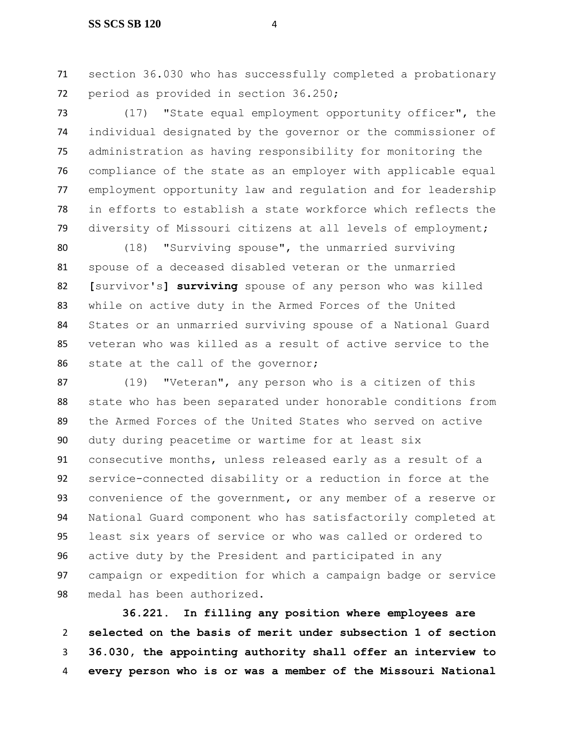section 36.030 who has successfully completed a probationary period as provided in section 36.250;

 (17) "State equal employment opportunity officer", the individual designated by the governor or the commissioner of administration as having responsibility for monitoring the compliance of the state as an employer with applicable equal employment opportunity law and regulation and for leadership in efforts to establish a state workforce which reflects the diversity of Missouri citizens at all levels of employment;

 (18) "Surviving spouse", the unmarried surviving spouse of a deceased disabled veteran or the unmarried **[**survivor's**] surviving** spouse of any person who was killed while on active duty in the Armed Forces of the United States or an unmarried surviving spouse of a National Guard veteran who was killed as a result of active service to the state at the call of the governor;

 (19) "Veteran", any person who is a citizen of this state who has been separated under honorable conditions from the Armed Forces of the United States who served on active duty during peacetime or wartime for at least six consecutive months, unless released early as a result of a service-connected disability or a reduction in force at the convenience of the government, or any member of a reserve or National Guard component who has satisfactorily completed at least six years of service or who was called or ordered to active duty by the President and participated in any campaign or expedition for which a campaign badge or service medal has been authorized.

 **36.221. In filling any position where employees are selected on the basis of merit under subsection 1 of section 36.030, the appointing authority shall offer an interview to every person who is or was a member of the Missouri National**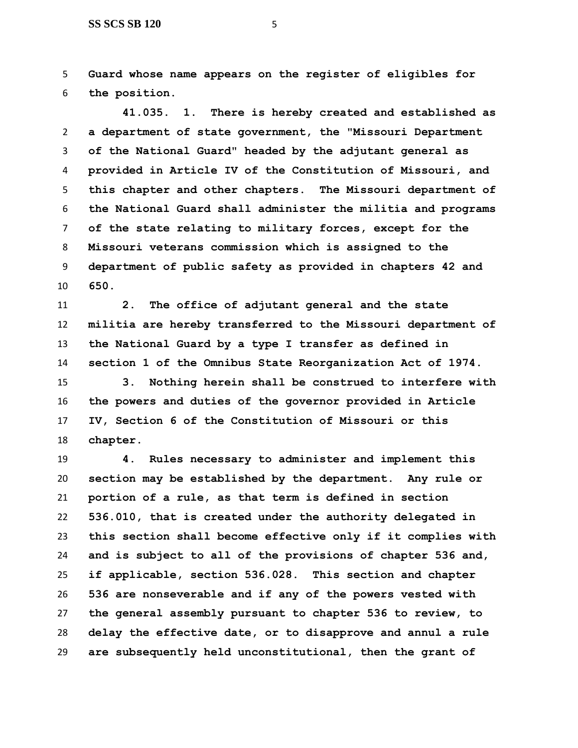**Guard whose name appears on the register of eligibles for the position.**

 **41.035. 1. There is hereby created and established as a department of state government, the "Missouri Department of the National Guard" headed by the adjutant general as provided in Article IV of the Constitution of Missouri, and this chapter and other chapters. The Missouri department of the National Guard shall administer the militia and programs of the state relating to military forces, except for the Missouri veterans commission which is assigned to the department of public safety as provided in chapters 42 and 650.**

 **2. The office of adjutant general and the state militia are hereby transferred to the Missouri department of the National Guard by a type I transfer as defined in section 1 of the Omnibus State Reorganization Act of 1974.**

 **3. Nothing herein shall be construed to interfere with the powers and duties of the governor provided in Article IV, Section 6 of the Constitution of Missouri or this chapter.**

 **4. Rules necessary to administer and implement this section may be established by the department. Any rule or portion of a rule, as that term is defined in section 536.010, that is created under the authority delegated in this section shall become effective only if it complies with and is subject to all of the provisions of chapter 536 and, if applicable, section 536.028. This section and chapter 536 are nonseverable and if any of the powers vested with the general assembly pursuant to chapter 536 to review, to delay the effective date, or to disapprove and annul a rule are subsequently held unconstitutional, then the grant of**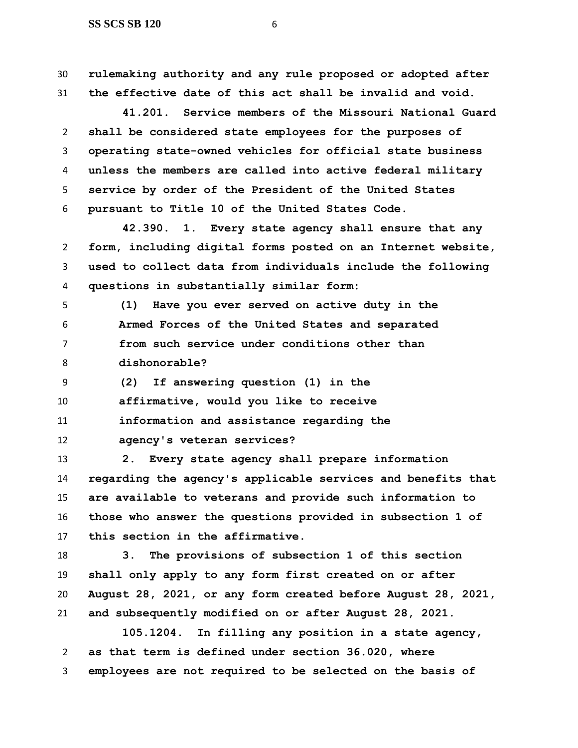**rulemaking authority and any rule proposed or adopted after the effective date of this act shall be invalid and void.**

 **41.201. Service members of the Missouri National Guard shall be considered state employees for the purposes of operating state-owned vehicles for official state business unless the members are called into active federal military service by order of the President of the United States pursuant to Title 10 of the United States Code.**

 **42.390. 1. Every state agency shall ensure that any form, including digital forms posted on an Internet website, used to collect data from individuals include the following questions in substantially similar form:**

 **(1) Have you ever served on active duty in the Armed Forces of the United States and separated from such service under conditions other than dishonorable?**

**(2) If answering question (1) in the** 

**affirmative, would you like to receive** 

 **information and assistance regarding the agency's veteran services?**

 **2. Every state agency shall prepare information regarding the agency's applicable services and benefits that are available to veterans and provide such information to those who answer the questions provided in subsection 1 of this section in the affirmative.**

 **3. The provisions of subsection 1 of this section shall only apply to any form first created on or after August 28, 2021, or any form created before August 28, 2021, and subsequently modified on or after August 28, 2021.**

 **105.1204. In filling any position in a state agency, as that term is defined under section 36.020, where employees are not required to be selected on the basis of**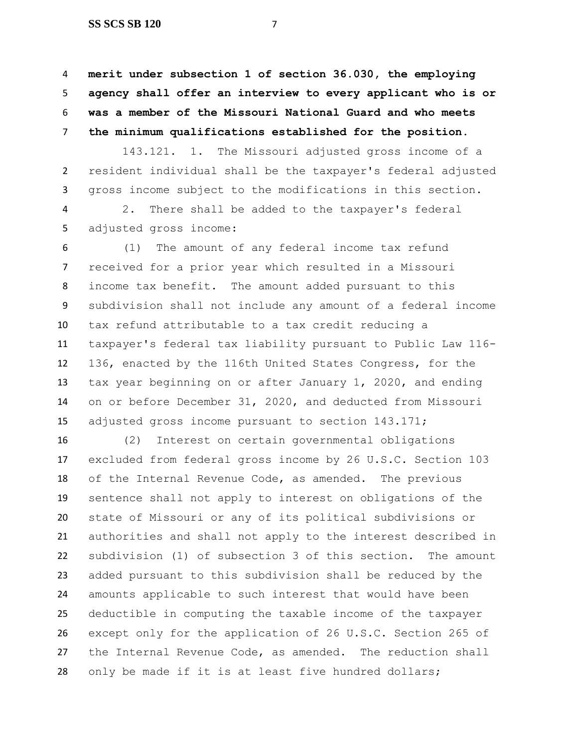**SS SCS SB 120** 7

 **merit under subsection 1 of section 36.030, the employing agency shall offer an interview to every applicant who is or was a member of the Missouri National Guard and who meets the minimum qualifications established for the position.**

143.121. 1. The Missouri adjusted gross income of a resident individual shall be the taxpayer's federal adjusted gross income subject to the modifications in this section.

 2. There shall be added to the taxpayer's federal adjusted gross income:

 (1) The amount of any federal income tax refund received for a prior year which resulted in a Missouri income tax benefit. The amount added pursuant to this subdivision shall not include any amount of a federal income tax refund attributable to a tax credit reducing a taxpayer's federal tax liability pursuant to Public Law 116- 136, enacted by the 116th United States Congress, for the tax year beginning on or after January 1, 2020, and ending on or before December 31, 2020, and deducted from Missouri 15 adjusted gross income pursuant to section 143.171;

 (2) Interest on certain governmental obligations excluded from federal gross income by 26 U.S.C. Section 103 of the Internal Revenue Code, as amended. The previous sentence shall not apply to interest on obligations of the state of Missouri or any of its political subdivisions or authorities and shall not apply to the interest described in subdivision (1) of subsection 3 of this section. The amount added pursuant to this subdivision shall be reduced by the amounts applicable to such interest that would have been deductible in computing the taxable income of the taxpayer except only for the application of 26 U.S.C. Section 265 of the Internal Revenue Code, as amended. The reduction shall 28 only be made if it is at least five hundred dollars;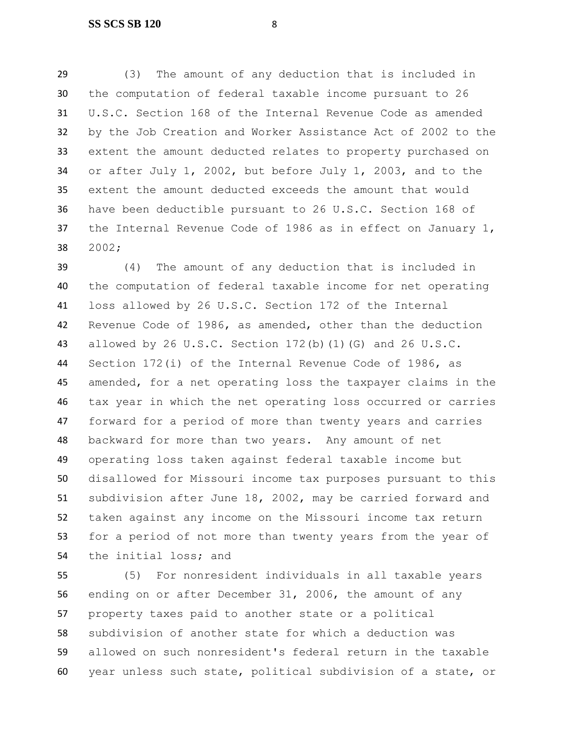(3) The amount of any deduction that is included in the computation of federal taxable income pursuant to 26 U.S.C. Section 168 of the Internal Revenue Code as amended by the Job Creation and Worker Assistance Act of 2002 to the extent the amount deducted relates to property purchased on or after July 1, 2002, but before July 1, 2003, and to the extent the amount deducted exceeds the amount that would have been deductible pursuant to 26 U.S.C. Section 168 of the Internal Revenue Code of 1986 as in effect on January 1, 2002;

 (4) The amount of any deduction that is included in the computation of federal taxable income for net operating loss allowed by 26 U.S.C. Section 172 of the Internal Revenue Code of 1986, as amended, other than the deduction allowed by 26 U.S.C. Section 172(b)(1)(G) and 26 U.S.C. Section 172(i) of the Internal Revenue Code of 1986, as amended, for a net operating loss the taxpayer claims in the tax year in which the net operating loss occurred or carries forward for a period of more than twenty years and carries backward for more than two years. Any amount of net operating loss taken against federal taxable income but disallowed for Missouri income tax purposes pursuant to this subdivision after June 18, 2002, may be carried forward and taken against any income on the Missouri income tax return for a period of not more than twenty years from the year of the initial loss; and

 (5) For nonresident individuals in all taxable years ending on or after December 31, 2006, the amount of any property taxes paid to another state or a political subdivision of another state for which a deduction was allowed on such nonresident's federal return in the taxable year unless such state, political subdivision of a state, or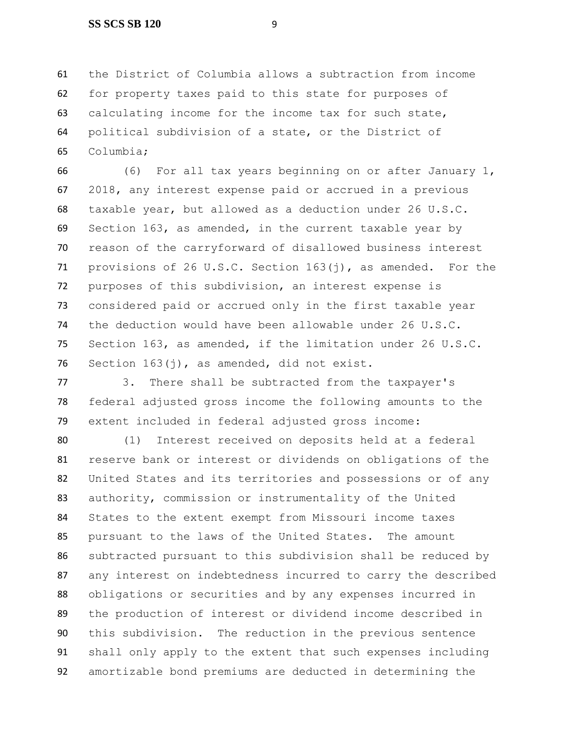the District of Columbia allows a subtraction from income for property taxes paid to this state for purposes of calculating income for the income tax for such state, political subdivision of a state, or the District of Columbia;

 (6) For all tax years beginning on or after January 1, 2018, any interest expense paid or accrued in a previous taxable year, but allowed as a deduction under 26 U.S.C. Section 163, as amended, in the current taxable year by reason of the carryforward of disallowed business interest provisions of 26 U.S.C. Section 163(j), as amended. For the purposes of this subdivision, an interest expense is considered paid or accrued only in the first taxable year the deduction would have been allowable under 26 U.S.C. Section 163, as amended, if the limitation under 26 U.S.C. Section 163(j), as amended, did not exist.

 3. There shall be subtracted from the taxpayer's federal adjusted gross income the following amounts to the extent included in federal adjusted gross income:

 (1) Interest received on deposits held at a federal reserve bank or interest or dividends on obligations of the United States and its territories and possessions or of any authority, commission or instrumentality of the United States to the extent exempt from Missouri income taxes pursuant to the laws of the United States. The amount subtracted pursuant to this subdivision shall be reduced by any interest on indebtedness incurred to carry the described obligations or securities and by any expenses incurred in the production of interest or dividend income described in this subdivision. The reduction in the previous sentence shall only apply to the extent that such expenses including amortizable bond premiums are deducted in determining the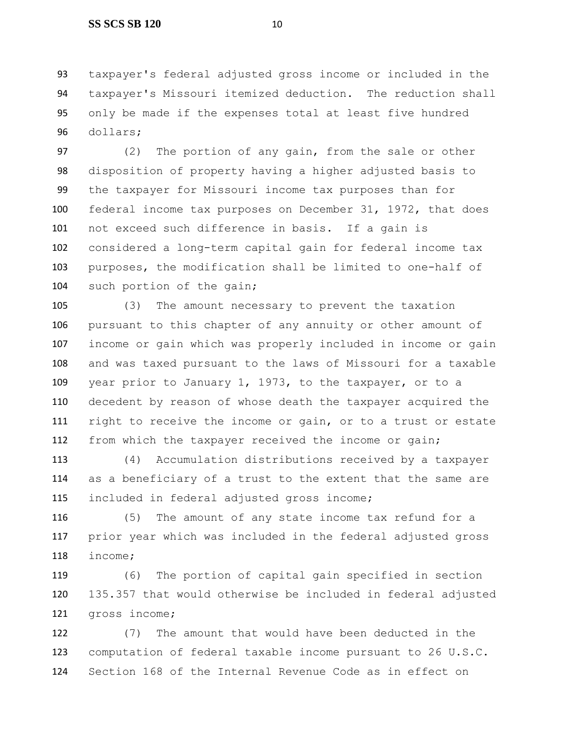taxpayer's federal adjusted gross income or included in the taxpayer's Missouri itemized deduction. The reduction shall only be made if the expenses total at least five hundred dollars;

 (2) The portion of any gain, from the sale or other disposition of property having a higher adjusted basis to the taxpayer for Missouri income tax purposes than for federal income tax purposes on December 31, 1972, that does not exceed such difference in basis. If a gain is considered a long-term capital gain for federal income tax purposes, the modification shall be limited to one-half of 104 such portion of the gain;

 (3) The amount necessary to prevent the taxation pursuant to this chapter of any annuity or other amount of income or gain which was properly included in income or gain and was taxed pursuant to the laws of Missouri for a taxable year prior to January 1, 1973, to the taxpayer, or to a decedent by reason of whose death the taxpayer acquired the right to receive the income or gain, or to a trust or estate from which the taxpayer received the income or gain;

 (4) Accumulation distributions received by a taxpayer as a beneficiary of a trust to the extent that the same are included in federal adjusted gross income;

 (5) The amount of any state income tax refund for a prior year which was included in the federal adjusted gross income;

 (6) The portion of capital gain specified in section 135.357 that would otherwise be included in federal adjusted gross income;

 (7) The amount that would have been deducted in the computation of federal taxable income pursuant to 26 U.S.C. Section 168 of the Internal Revenue Code as in effect on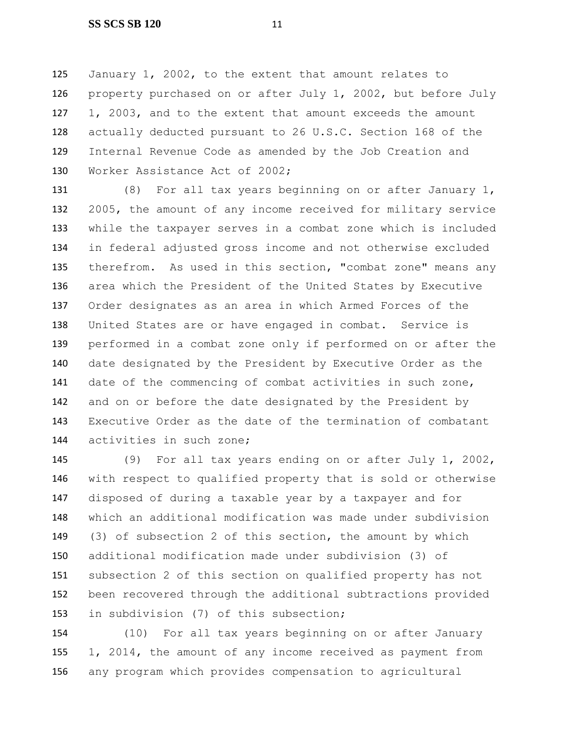January 1, 2002, to the extent that amount relates to property purchased on or after July 1, 2002, but before July 1, 2003, and to the extent that amount exceeds the amount actually deducted pursuant to 26 U.S.C. Section 168 of the Internal Revenue Code as amended by the Job Creation and Worker Assistance Act of 2002;

 (8) For all tax years beginning on or after January 1, 2005, the amount of any income received for military service while the taxpayer serves in a combat zone which is included in federal adjusted gross income and not otherwise excluded therefrom. As used in this section, "combat zone" means any area which the President of the United States by Executive Order designates as an area in which Armed Forces of the United States are or have engaged in combat. Service is performed in a combat zone only if performed on or after the date designated by the President by Executive Order as the date of the commencing of combat activities in such zone, and on or before the date designated by the President by Executive Order as the date of the termination of combatant activities in such zone;

 (9) For all tax years ending on or after July 1, 2002, with respect to qualified property that is sold or otherwise disposed of during a taxable year by a taxpayer and for which an additional modification was made under subdivision (3) of subsection 2 of this section, the amount by which additional modification made under subdivision (3) of subsection 2 of this section on qualified property has not been recovered through the additional subtractions provided in subdivision (7) of this subsection;

 (10) For all tax years beginning on or after January 1, 2014, the amount of any income received as payment from any program which provides compensation to agricultural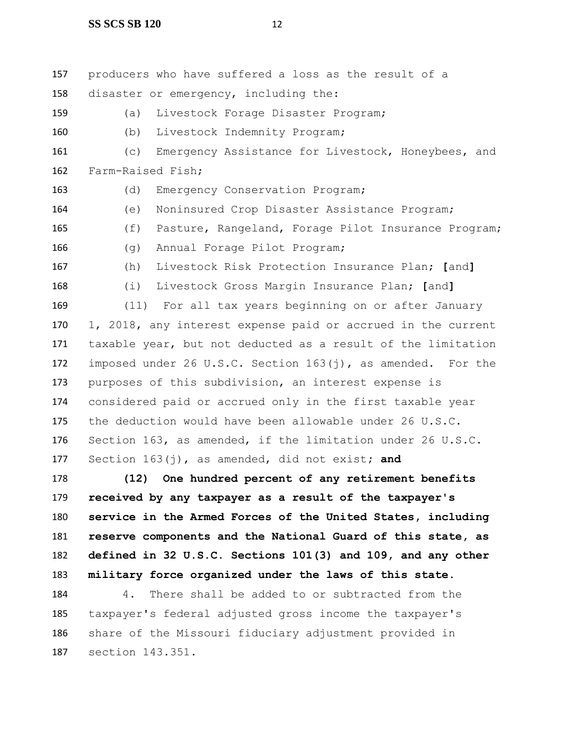producers who have suffered a loss as the result of a disaster or emergency, including the: (a) Livestock Forage Disaster Program; (b) Livestock Indemnity Program; (c) Emergency Assistance for Livestock, Honeybees, and Farm-Raised Fish; (d) Emergency Conservation Program; (e) Noninsured Crop Disaster Assistance Program; (f) Pasture, Rangeland, Forage Pilot Insurance Program; (g) Annual Forage Pilot Program; (h) Livestock Risk Protection Insurance Plan; **[**and**]** (i) Livestock Gross Margin Insurance Plan; **[**and**]** (11) For all tax years beginning on or after January 1, 2018, any interest expense paid or accrued in the current taxable year, but not deducted as a result of the limitation imposed under 26 U.S.C. Section 163(j), as amended. For the purposes of this subdivision, an interest expense is considered paid or accrued only in the first taxable year the deduction would have been allowable under 26 U.S.C. Section 163, as amended, if the limitation under 26 U.S.C.

Section 163(j), as amended, did not exist**; and**

 **(12) One hundred percent of any retirement benefits received by any taxpayer as a result of the taxpayer's service in the Armed Forces of the United States, including reserve components and the National Guard of this state, as defined in 32 U.S.C. Sections 101(3) and 109, and any other military force organized under the laws of this state**.

 4. There shall be added to or subtracted from the taxpayer's federal adjusted gross income the taxpayer's share of the Missouri fiduciary adjustment provided in section 143.351.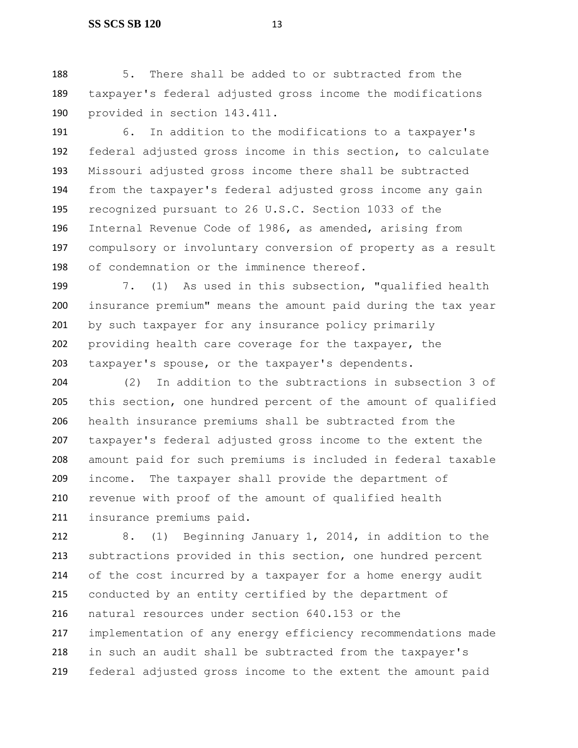#### **SS SCS SB 120** 13

 5. There shall be added to or subtracted from the taxpayer's federal adjusted gross income the modifications provided in section 143.411.

 6. In addition to the modifications to a taxpayer's federal adjusted gross income in this section, to calculate Missouri adjusted gross income there shall be subtracted from the taxpayer's federal adjusted gross income any gain recognized pursuant to 26 U.S.C. Section 1033 of the Internal Revenue Code of 1986, as amended, arising from compulsory or involuntary conversion of property as a result of condemnation or the imminence thereof.

 7. (1) As used in this subsection, "qualified health insurance premium" means the amount paid during the tax year by such taxpayer for any insurance policy primarily providing health care coverage for the taxpayer, the taxpayer's spouse, or the taxpayer's dependents.

 (2) In addition to the subtractions in subsection 3 of this section, one hundred percent of the amount of qualified health insurance premiums shall be subtracted from the taxpayer's federal adjusted gross income to the extent the amount paid for such premiums is included in federal taxable income. The taxpayer shall provide the department of revenue with proof of the amount of qualified health insurance premiums paid.

 8. (1) Beginning January 1, 2014, in addition to the subtractions provided in this section, one hundred percent of the cost incurred by a taxpayer for a home energy audit conducted by an entity certified by the department of natural resources under section 640.153 or the implementation of any energy efficiency recommendations made in such an audit shall be subtracted from the taxpayer's federal adjusted gross income to the extent the amount paid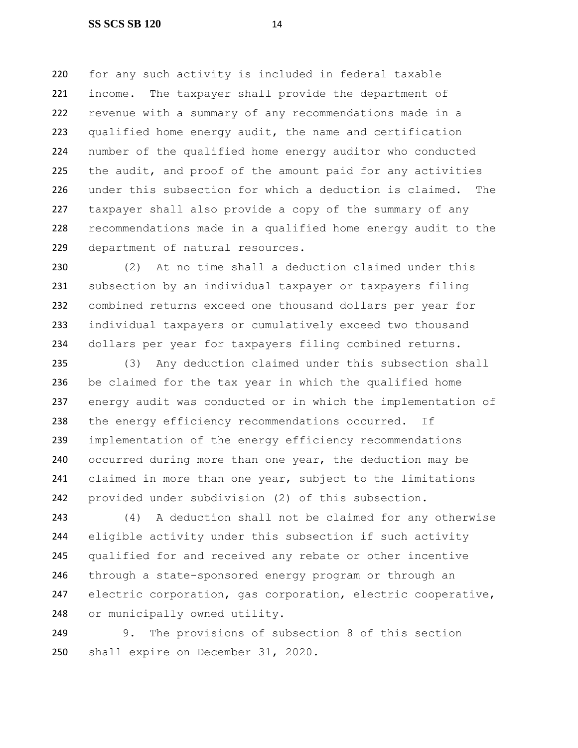for any such activity is included in federal taxable income. The taxpayer shall provide the department of revenue with a summary of any recommendations made in a qualified home energy audit, the name and certification number of the qualified home energy auditor who conducted 225 the audit, and proof of the amount paid for any activities under this subsection for which a deduction is claimed. The taxpayer shall also provide a copy of the summary of any recommendations made in a qualified home energy audit to the department of natural resources.

 (2) At no time shall a deduction claimed under this subsection by an individual taxpayer or taxpayers filing combined returns exceed one thousand dollars per year for individual taxpayers or cumulatively exceed two thousand dollars per year for taxpayers filing combined returns.

 (3) Any deduction claimed under this subsection shall be claimed for the tax year in which the qualified home energy audit was conducted or in which the implementation of 238 the energy efficiency recommendations occurred. If implementation of the energy efficiency recommendations occurred during more than one year, the deduction may be 241 claimed in more than one year, subject to the limitations provided under subdivision (2) of this subsection.

 (4) A deduction shall not be claimed for any otherwise eligible activity under this subsection if such activity qualified for and received any rebate or other incentive through a state-sponsored energy program or through an electric corporation, gas corporation, electric cooperative, or municipally owned utility.

 9. The provisions of subsection 8 of this section shall expire on December 31, 2020.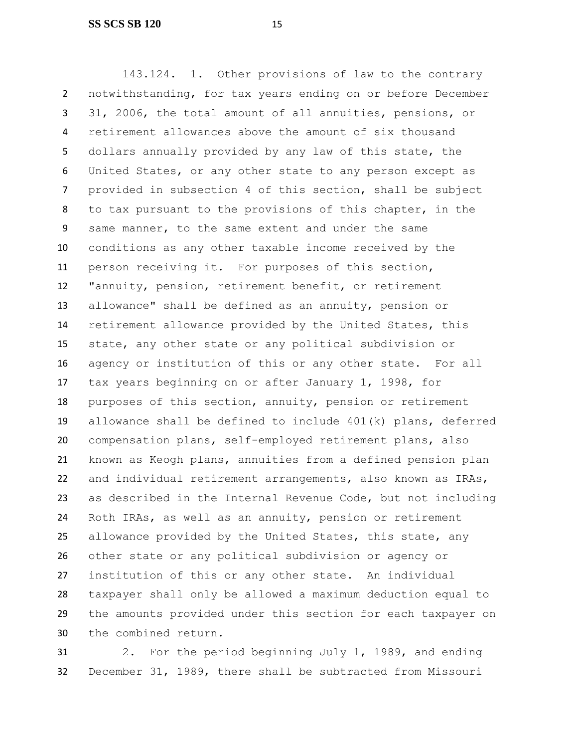143.124. 1. Other provisions of law to the contrary notwithstanding, for tax years ending on or before December 31, 2006, the total amount of all annuities, pensions, or retirement allowances above the amount of six thousand dollars annually provided by any law of this state, the United States, or any other state to any person except as provided in subsection 4 of this section, shall be subject to tax pursuant to the provisions of this chapter, in the same manner, to the same extent and under the same conditions as any other taxable income received by the person receiving it. For purposes of this section, "annuity, pension, retirement benefit, or retirement allowance" shall be defined as an annuity, pension or retirement allowance provided by the United States, this state, any other state or any political subdivision or agency or institution of this or any other state. For all tax years beginning on or after January 1, 1998, for purposes of this section, annuity, pension or retirement allowance shall be defined to include 401(k) plans, deferred compensation plans, self-employed retirement plans, also known as Keogh plans, annuities from a defined pension plan and individual retirement arrangements, also known as IRAs, as described in the Internal Revenue Code, but not including Roth IRAs, as well as an annuity, pension or retirement allowance provided by the United States, this state, any other state or any political subdivision or agency or institution of this or any other state. An individual taxpayer shall only be allowed a maximum deduction equal to the amounts provided under this section for each taxpayer on the combined return.

 2. For the period beginning July 1, 1989, and ending December 31, 1989, there shall be subtracted from Missouri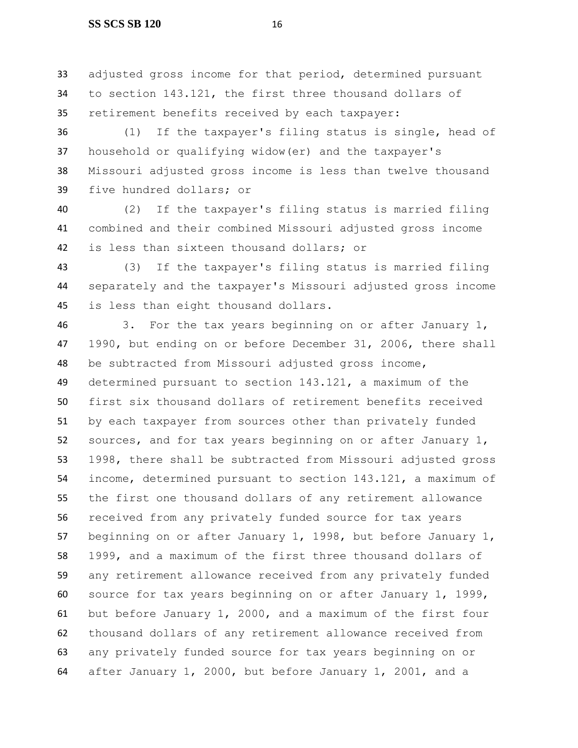#### **SS SCS SB 120** 16

 adjusted gross income for that period, determined pursuant to section 143.121, the first three thousand dollars of retirement benefits received by each taxpayer:

 (1) If the taxpayer's filing status is single, head of household or qualifying widow(er) and the taxpayer's Missouri adjusted gross income is less than twelve thousand five hundred dollars; or

 (2) If the taxpayer's filing status is married filing combined and their combined Missouri adjusted gross income is less than sixteen thousand dollars; or

 (3) If the taxpayer's filing status is married filing separately and the taxpayer's Missouri adjusted gross income is less than eight thousand dollars.

 3. For the tax years beginning on or after January 1, 1990, but ending on or before December 31, 2006, there shall be subtracted from Missouri adjusted gross income, determined pursuant to section 143.121, a maximum of the first six thousand dollars of retirement benefits received by each taxpayer from sources other than privately funded sources, and for tax years beginning on or after January 1, 1998, there shall be subtracted from Missouri adjusted gross income, determined pursuant to section 143.121, a maximum of the first one thousand dollars of any retirement allowance received from any privately funded source for tax years beginning on or after January 1, 1998, but before January 1, 1999, and a maximum of the first three thousand dollars of any retirement allowance received from any privately funded source for tax years beginning on or after January 1, 1999, but before January 1, 2000, and a maximum of the first four thousand dollars of any retirement allowance received from any privately funded source for tax years beginning on or after January 1, 2000, but before January 1, 2001, and a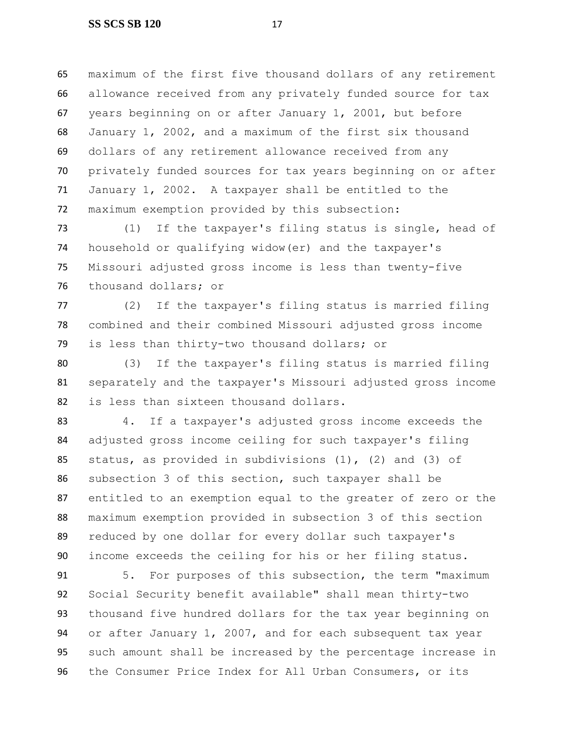maximum of the first five thousand dollars of any retirement allowance received from any privately funded source for tax years beginning on or after January 1, 2001, but before January 1, 2002, and a maximum of the first six thousand dollars of any retirement allowance received from any privately funded sources for tax years beginning on or after January 1, 2002. A taxpayer shall be entitled to the maximum exemption provided by this subsection:

 (1) If the taxpayer's filing status is single, head of household or qualifying widow(er) and the taxpayer's Missouri adjusted gross income is less than twenty-five thousand dollars; or

 (2) If the taxpayer's filing status is married filing combined and their combined Missouri adjusted gross income is less than thirty-two thousand dollars; or

 (3) If the taxpayer's filing status is married filing separately and the taxpayer's Missouri adjusted gross income is less than sixteen thousand dollars.

 4. If a taxpayer's adjusted gross income exceeds the adjusted gross income ceiling for such taxpayer's filing status, as provided in subdivisions (1), (2) and (3) of subsection 3 of this section, such taxpayer shall be entitled to an exemption equal to the greater of zero or the maximum exemption provided in subsection 3 of this section reduced by one dollar for every dollar such taxpayer's income exceeds the ceiling for his or her filing status.

 5. For purposes of this subsection, the term "maximum Social Security benefit available" shall mean thirty-two thousand five hundred dollars for the tax year beginning on or after January 1, 2007, and for each subsequent tax year such amount shall be increased by the percentage increase in the Consumer Price Index for All Urban Consumers, or its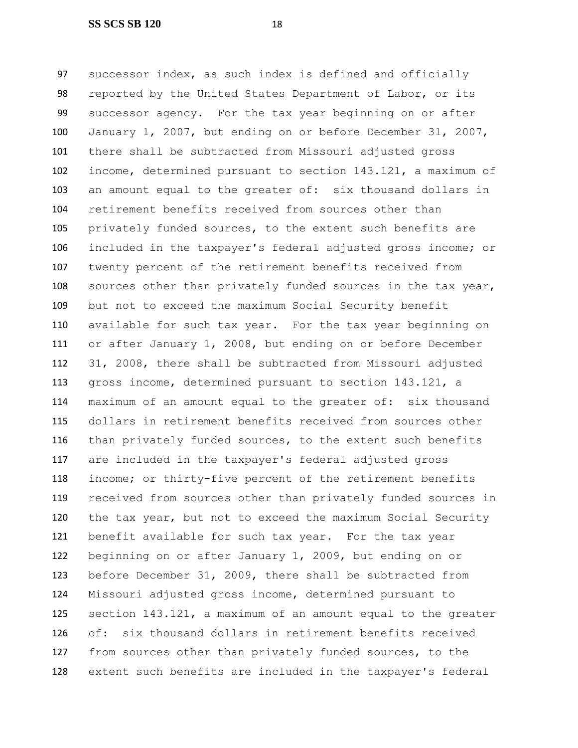successor index, as such index is defined and officially reported by the United States Department of Labor, or its successor agency. For the tax year beginning on or after January 1, 2007, but ending on or before December 31, 2007, there shall be subtracted from Missouri adjusted gross income, determined pursuant to section 143.121, a maximum of an amount equal to the greater of: six thousand dollars in retirement benefits received from sources other than privately funded sources, to the extent such benefits are included in the taxpayer's federal adjusted gross income; or twenty percent of the retirement benefits received from sources other than privately funded sources in the tax year, but not to exceed the maximum Social Security benefit available for such tax year. For the tax year beginning on or after January 1, 2008, but ending on or before December 31, 2008, there shall be subtracted from Missouri adjusted gross income, determined pursuant to section 143.121, a maximum of an amount equal to the greater of: six thousand dollars in retirement benefits received from sources other than privately funded sources, to the extent such benefits are included in the taxpayer's federal adjusted gross income; or thirty-five percent of the retirement benefits received from sources other than privately funded sources in the tax year, but not to exceed the maximum Social Security benefit available for such tax year. For the tax year beginning on or after January 1, 2009, but ending on or before December 31, 2009, there shall be subtracted from Missouri adjusted gross income, determined pursuant to section 143.121, a maximum of an amount equal to the greater of: six thousand dollars in retirement benefits received from sources other than privately funded sources, to the extent such benefits are included in the taxpayer's federal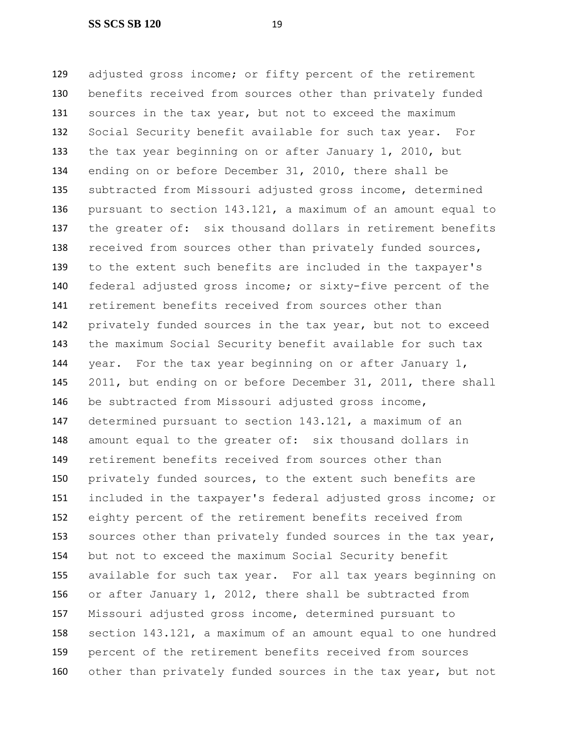adjusted gross income; or fifty percent of the retirement benefits received from sources other than privately funded 131 sources in the tax year, but not to exceed the maximum Social Security benefit available for such tax year. For the tax year beginning on or after January 1, 2010, but ending on or before December 31, 2010, there shall be subtracted from Missouri adjusted gross income, determined pursuant to section 143.121, a maximum of an amount equal to 137 the greater of: six thousand dollars in retirement benefits 138 received from sources other than privately funded sources, to the extent such benefits are included in the taxpayer's federal adjusted gross income; or sixty-five percent of the retirement benefits received from sources other than privately funded sources in the tax year, but not to exceed the maximum Social Security benefit available for such tax year. For the tax year beginning on or after January 1, 2011, but ending on or before December 31, 2011, there shall be subtracted from Missouri adjusted gross income, determined pursuant to section 143.121, a maximum of an amount equal to the greater of: six thousand dollars in retirement benefits received from sources other than privately funded sources, to the extent such benefits are included in the taxpayer's federal adjusted gross income; or eighty percent of the retirement benefits received from 153 sources other than privately funded sources in the tax year, but not to exceed the maximum Social Security benefit available for such tax year. For all tax years beginning on or after January 1, 2012, there shall be subtracted from Missouri adjusted gross income, determined pursuant to section 143.121, a maximum of an amount equal to one hundred percent of the retirement benefits received from sources 160 other than privately funded sources in the tax year, but not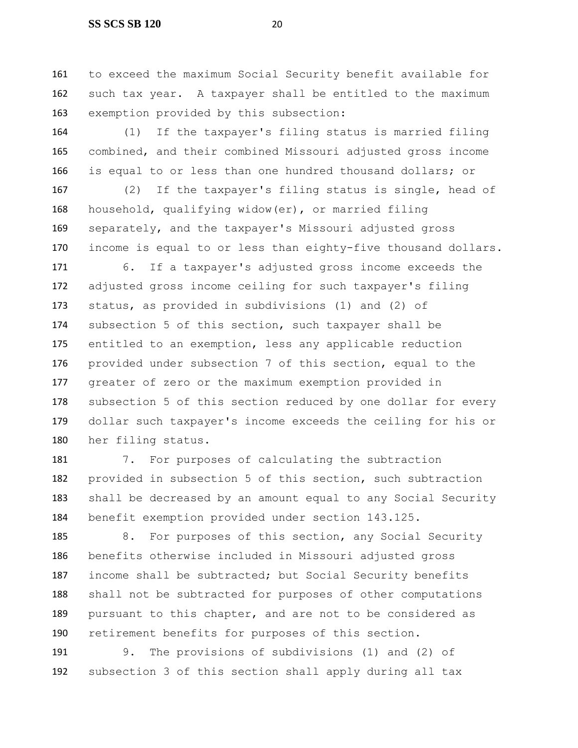to exceed the maximum Social Security benefit available for such tax year. A taxpayer shall be entitled to the maximum exemption provided by this subsection:

 (1) If the taxpayer's filing status is married filing combined, and their combined Missouri adjusted gross income is equal to or less than one hundred thousand dollars; or

 (2) If the taxpayer's filing status is single, head of household, qualifying widow(er), or married filing separately, and the taxpayer's Missouri adjusted gross income is equal to or less than eighty-five thousand dollars.

 6. If a taxpayer's adjusted gross income exceeds the adjusted gross income ceiling for such taxpayer's filing status, as provided in subdivisions (1) and (2) of subsection 5 of this section, such taxpayer shall be entitled to an exemption, less any applicable reduction provided under subsection 7 of this section, equal to the greater of zero or the maximum exemption provided in subsection 5 of this section reduced by one dollar for every dollar such taxpayer's income exceeds the ceiling for his or her filing status.

181 7. For purposes of calculating the subtraction provided in subsection 5 of this section, such subtraction shall be decreased by an amount equal to any Social Security benefit exemption provided under section 143.125.

185 8. For purposes of this section, any Social Security benefits otherwise included in Missouri adjusted gross 187 income shall be subtracted; but Social Security benefits shall not be subtracted for purposes of other computations pursuant to this chapter, and are not to be considered as retirement benefits for purposes of this section.

 9. The provisions of subdivisions (1) and (2) of subsection 3 of this section shall apply during all tax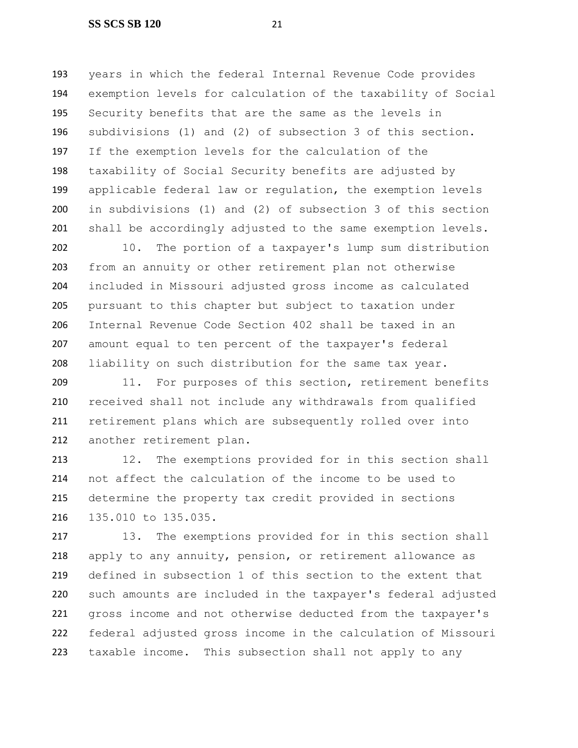years in which the federal Internal Revenue Code provides exemption levels for calculation of the taxability of Social Security benefits that are the same as the levels in subdivisions (1) and (2) of subsection 3 of this section. If the exemption levels for the calculation of the taxability of Social Security benefits are adjusted by applicable federal law or regulation, the exemption levels in subdivisions (1) and (2) of subsection 3 of this section 201 shall be accordingly adjusted to the same exemption levels.

 10. The portion of a taxpayer's lump sum distribution from an annuity or other retirement plan not otherwise included in Missouri adjusted gross income as calculated pursuant to this chapter but subject to taxation under Internal Revenue Code Section 402 shall be taxed in an amount equal to ten percent of the taxpayer's federal liability on such distribution for the same tax year.

209 11. For purposes of this section, retirement benefits received shall not include any withdrawals from qualified retirement plans which are subsequently rolled over into another retirement plan.

 12. The exemptions provided for in this section shall not affect the calculation of the income to be used to determine the property tax credit provided in sections 135.010 to 135.035.

 13. The exemptions provided for in this section shall apply to any annuity, pension, or retirement allowance as defined in subsection 1 of this section to the extent that such amounts are included in the taxpayer's federal adjusted gross income and not otherwise deducted from the taxpayer's federal adjusted gross income in the calculation of Missouri taxable income. This subsection shall not apply to any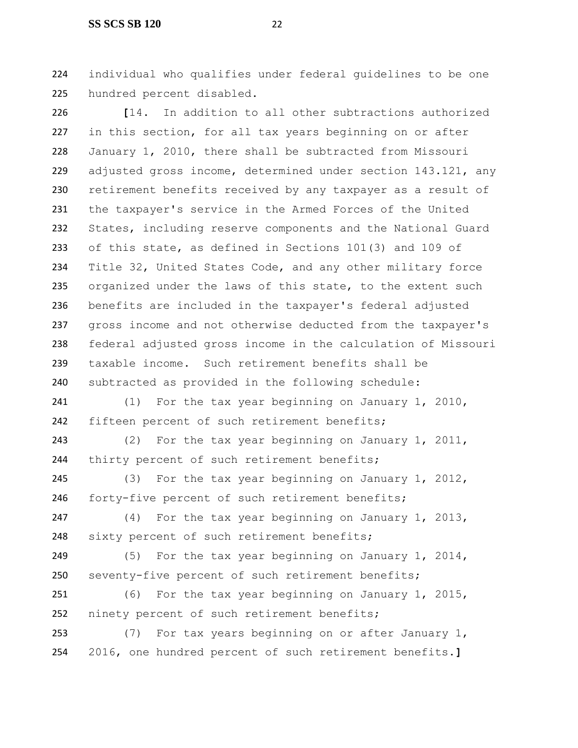#### **SS SCS SB 120** 22

 individual who qualifies under federal guidelines to be one hundred percent disabled.

 **[**14. In addition to all other subtractions authorized in this section, for all tax years beginning on or after January 1, 2010, there shall be subtracted from Missouri adjusted gross income, determined under section 143.121, any retirement benefits received by any taxpayer as a result of the taxpayer's service in the Armed Forces of the United States, including reserve components and the National Guard of this state, as defined in Sections 101(3) and 109 of Title 32, United States Code, and any other military force 235 organized under the laws of this state, to the extent such benefits are included in the taxpayer's federal adjusted gross income and not otherwise deducted from the taxpayer's federal adjusted gross income in the calculation of Missouri taxable income. Such retirement benefits shall be subtracted as provided in the following schedule:

241 (1) For the tax year beginning on January 1, 2010, 242 fifteen percent of such retirement benefits;

 (2) For the tax year beginning on January 1, 2011, 244 thirty percent of such retirement benefits;

 (3) For the tax year beginning on January 1, 2012, 246 forty-five percent of such retirement benefits;

 (4) For the tax year beginning on January 1, 2013, 248 sixty percent of such retirement benefits;

 (5) For the tax year beginning on January 1, 2014, seventy-five percent of such retirement benefits;

 (6) For the tax year beginning on January 1, 2015, 252 ninety percent of such retirement benefits;

 (7) For tax years beginning on or after January 1, 2016, one hundred percent of such retirement benefits.**]**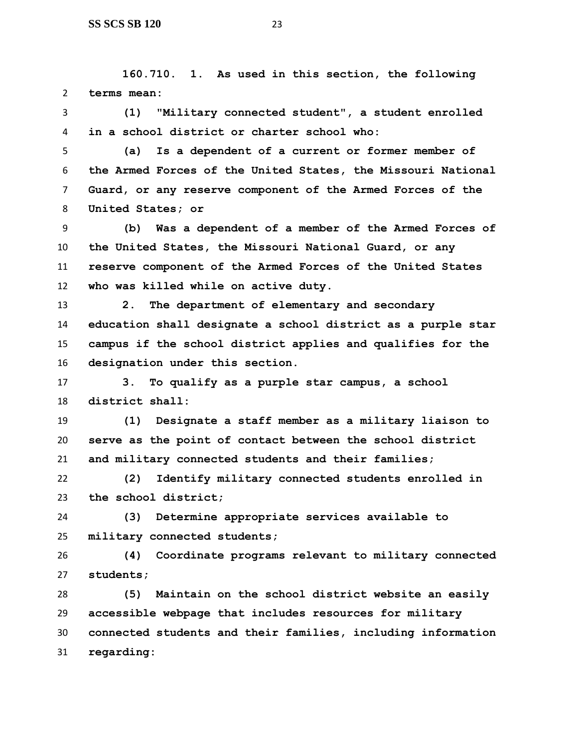**160.710. 1. As used in this section, the following terms mean:**

 **(1) "Military connected student", a student enrolled in a school district or charter school who:**

 **(a) Is a dependent of a current or former member of the Armed Forces of the United States, the Missouri National Guard, or any reserve component of the Armed Forces of the United States; or** 

 **(b) Was a dependent of a member of the Armed Forces of the United States, the Missouri National Guard, or any reserve component of the Armed Forces of the United States who was killed while on active duty.**

 **2. The department of elementary and secondary education shall designate a school district as a purple star campus if the school district applies and qualifies for the designation under this section.**

 **3. To qualify as a purple star campus, a school district shall:**

 **(1) Designate a staff member as a military liaison to serve as the point of contact between the school district and military connected students and their families;**

 **(2) Identify military connected students enrolled in the school district;**

 **(3) Determine appropriate services available to military connected students;**

 **(4) Coordinate programs relevant to military connected students;**

 **(5) Maintain on the school district website an easily accessible webpage that includes resources for military connected students and their families, including information regarding:**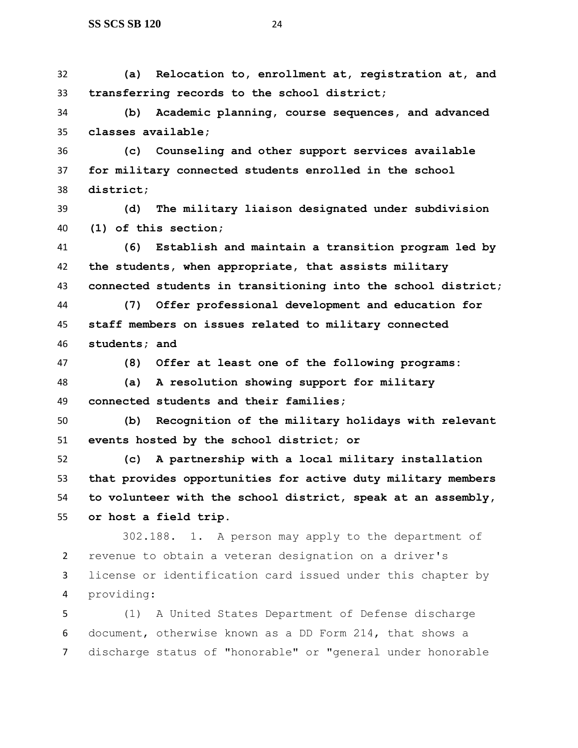**(a) Relocation to, enrollment at, registration at, and transferring records to the school district;**

 **(b) Academic planning, course sequences, and advanced classes available;**

 **(c) Counseling and other support services available for military connected students enrolled in the school district;**

 **(d) The military liaison designated under subdivision (1) of this section;**

 **(6) Establish and maintain a transition program led by the students, when appropriate, that assists military connected students in transitioning into the school district;**

 **(7) Offer professional development and education for staff members on issues related to military connected students; and**

**(8) Offer at least one of the following programs:**

 **(a) A resolution showing support for military connected students and their families;**

 **(b) Recognition of the military holidays with relevant events hosted by the school district; or**

 **(c) A partnership with a local military installation that provides opportunities for active duty military members to volunteer with the school district, speak at an assembly, or host a field trip.**

 302.188. 1. A person may apply to the department of revenue to obtain a veteran designation on a driver's license or identification card issued under this chapter by providing:

 (1) A United States Department of Defense discharge document, otherwise known as a DD Form 214, that shows a discharge status of "honorable" or "general under honorable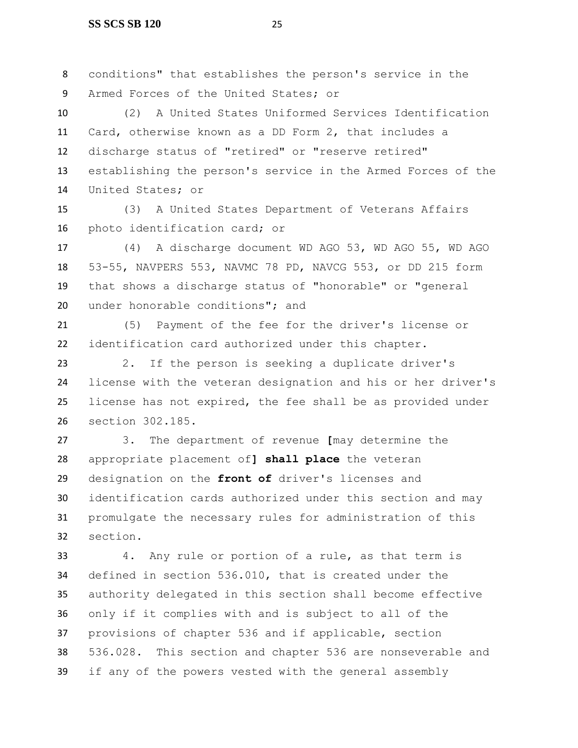conditions" that establishes the person's service in the Armed Forces of the United States; or

 (2) A United States Uniformed Services Identification Card, otherwise known as a DD Form 2, that includes a discharge status of "retired" or "reserve retired" establishing the person's service in the Armed Forces of the United States; or

 (3) A United States Department of Veterans Affairs photo identification card; or

 (4) A discharge document WD AGO 53, WD AGO 55, WD AGO 53-55, NAVPERS 553, NAVMC 78 PD, NAVCG 553, or DD 215 form that shows a discharge status of "honorable" or "general under honorable conditions"; and

 (5) Payment of the fee for the driver's license or identification card authorized under this chapter.

 2. If the person is seeking a duplicate driver's license with the veteran designation and his or her driver's license has not expired, the fee shall be as provided under section 302.185.

 3. The department of revenue **[**may determine the appropriate placement of**] shall place** the veteran designation on the **front of** driver's licenses and identification cards authorized under this section and may promulgate the necessary rules for administration of this section.

 4. Any rule or portion of a rule, as that term is defined in section 536.010, that is created under the authority delegated in this section shall become effective only if it complies with and is subject to all of the provisions of chapter 536 and if applicable, section 536.028. This section and chapter 536 are nonseverable and if any of the powers vested with the general assembly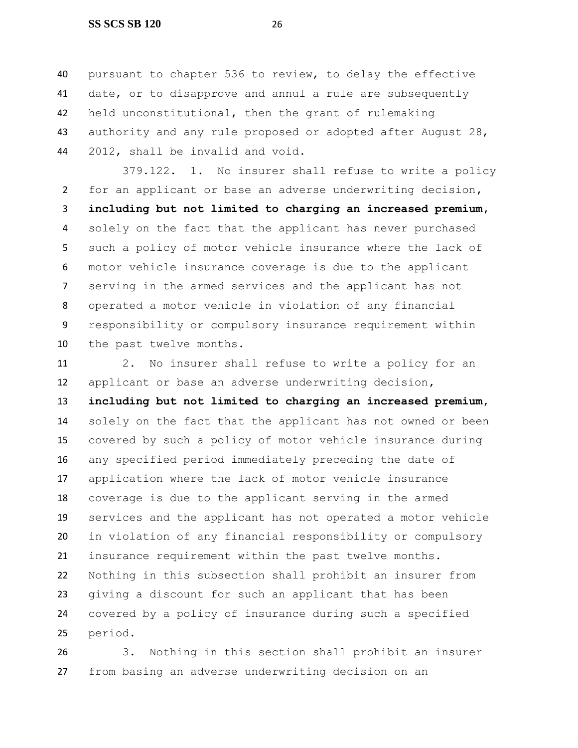#### **SS SCS SB 120** 26

 pursuant to chapter 536 to review, to delay the effective date, or to disapprove and annul a rule are subsequently held unconstitutional, then the grant of rulemaking 43 authority and any rule proposed or adopted after August 28, 2012, shall be invalid and void.

379.122. 1. No insurer shall refuse to write a policy for an applicant or base an adverse underwriting decision**, including but not limited to charging an increased premium,** solely on the fact that the applicant has never purchased such a policy of motor vehicle insurance where the lack of motor vehicle insurance coverage is due to the applicant serving in the armed services and the applicant has not operated a motor vehicle in violation of any financial responsibility or compulsory insurance requirement within the past twelve months.

 2. No insurer shall refuse to write a policy for an applicant or base an adverse underwriting decision**, including but not limited to charging an increased premium,** solely on the fact that the applicant has not owned or been covered by such a policy of motor vehicle insurance during any specified period immediately preceding the date of application where the lack of motor vehicle insurance coverage is due to the applicant serving in the armed services and the applicant has not operated a motor vehicle in violation of any financial responsibility or compulsory insurance requirement within the past twelve months. Nothing in this subsection shall prohibit an insurer from giving a discount for such an applicant that has been covered by a policy of insurance during such a specified period.

 3. Nothing in this section shall prohibit an insurer from basing an adverse underwriting decision on an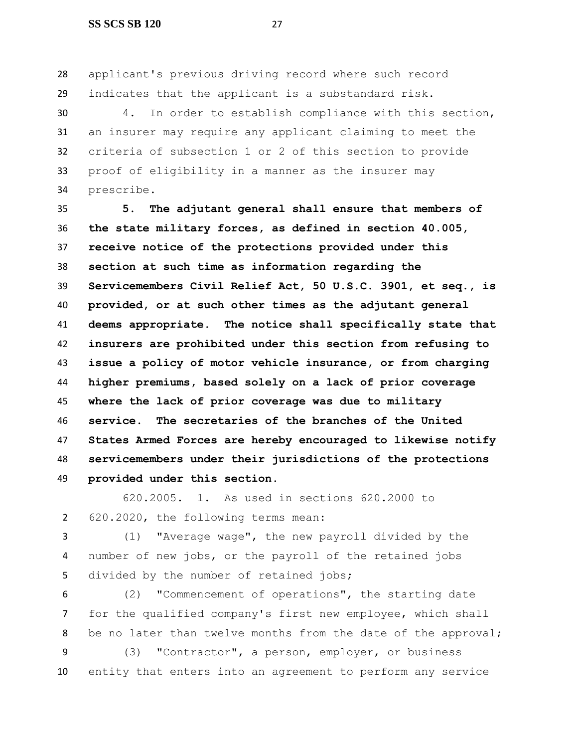applicant's previous driving record where such record indicates that the applicant is a substandard risk.

 4. In order to establish compliance with this section, an insurer may require any applicant claiming to meet the criteria of subsection 1 or 2 of this section to provide proof of eligibility in a manner as the insurer may prescribe.

 **5. The adjutant general shall ensure that members of the state military forces, as defined in section 40.005, receive notice of the protections provided under this section at such time as information regarding the Servicemembers Civil Relief Act, 50 U.S.C. 3901, et seq., is provided, or at such other times as the adjutant general deems appropriate. The notice shall specifically state that insurers are prohibited under this section from refusing to issue a policy of motor vehicle insurance, or from charging higher premiums, based solely on a lack of prior coverage where the lack of prior coverage was due to military service. The secretaries of the branches of the United States Armed Forces are hereby encouraged to likewise notify servicemembers under their jurisdictions of the protections provided under this section.**

 620.2005. 1. As used in sections 620.2000 to 620.2020, the following terms mean:

 (1) "Average wage", the new payroll divided by the number of new jobs, or the payroll of the retained jobs 5 divided by the number of retained jobs;

 (2) "Commencement of operations", the starting date for the qualified company's first new employee, which shall 8 be no later than twelve months from the date of the approval;

 (3) "Contractor", a person, employer, or business entity that enters into an agreement to perform any service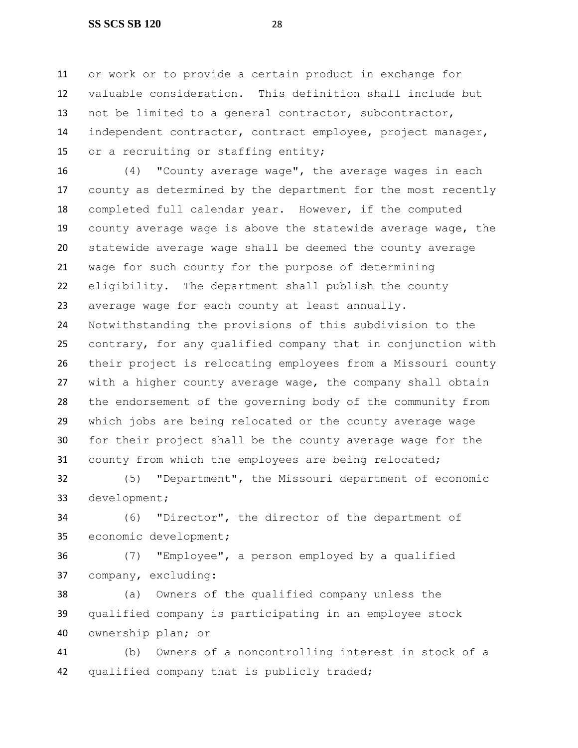or work or to provide a certain product in exchange for valuable consideration. This definition shall include but not be limited to a general contractor, subcontractor, independent contractor, contract employee, project manager, 15 or a recruiting or staffing entity;

 (4) "County average wage", the average wages in each county as determined by the department for the most recently completed full calendar year. However, if the computed county average wage is above the statewide average wage, the statewide average wage shall be deemed the county average wage for such county for the purpose of determining eligibility. The department shall publish the county average wage for each county at least annually. Notwithstanding the provisions of this subdivision to the contrary, for any qualified company that in conjunction with their project is relocating employees from a Missouri county with a higher county average wage, the company shall obtain the endorsement of the governing body of the community from which jobs are being relocated or the county average wage for their project shall be the county average wage for the county from which the employees are being relocated;

 (5) "Department", the Missouri department of economic development;

 (6) "Director", the director of the department of economic development;

 (7) "Employee", a person employed by a qualified company, excluding:

 (a) Owners of the qualified company unless the qualified company is participating in an employee stock ownership plan; or

 (b) Owners of a noncontrolling interest in stock of a qualified company that is publicly traded;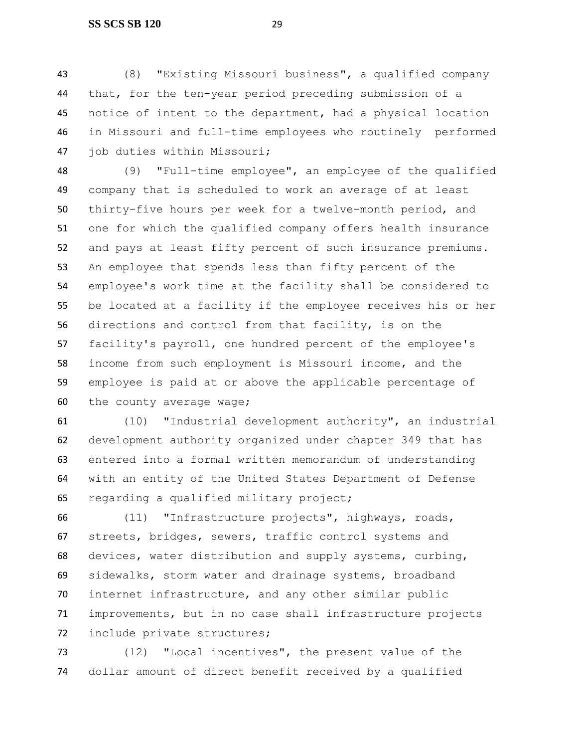(8) "Existing Missouri business", a qualified company that, for the ten-year period preceding submission of a notice of intent to the department, had a physical location in Missouri and full-time employees who routinely performed job duties within Missouri;

 (9) "Full-time employee", an employee of the qualified company that is scheduled to work an average of at least thirty-five hours per week for a twelve-month period, and one for which the qualified company offers health insurance and pays at least fifty percent of such insurance premiums. An employee that spends less than fifty percent of the employee's work time at the facility shall be considered to be located at a facility if the employee receives his or her directions and control from that facility, is on the facility's payroll, one hundred percent of the employee's income from such employment is Missouri income, and the employee is paid at or above the applicable percentage of the county average wage;

 (10) "Industrial development authority", an industrial development authority organized under chapter 349 that has entered into a formal written memorandum of understanding with an entity of the United States Department of Defense regarding a qualified military project;

 (11) "Infrastructure projects", highways, roads, streets, bridges, sewers, traffic control systems and devices, water distribution and supply systems, curbing, sidewalks, storm water and drainage systems, broadband internet infrastructure, and any other similar public improvements, but in no case shall infrastructure projects include private structures;

 (12) "Local incentives", the present value of the dollar amount of direct benefit received by a qualified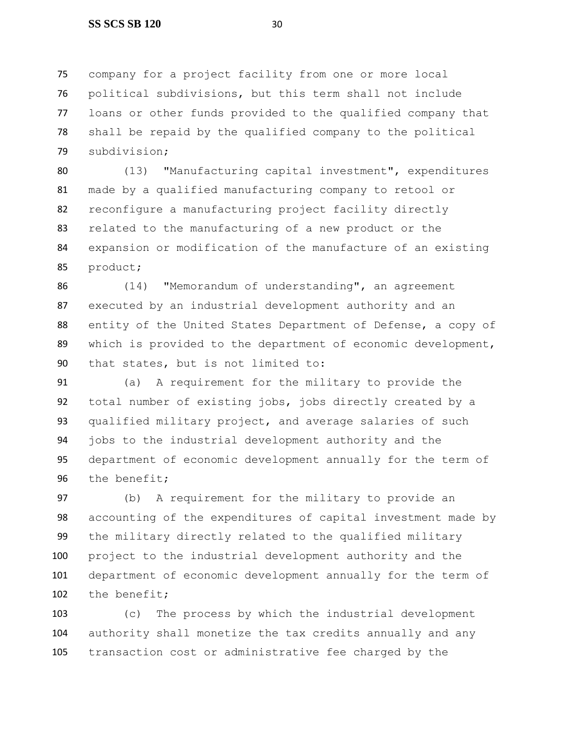company for a project facility from one or more local political subdivisions, but this term shall not include loans or other funds provided to the qualified company that shall be repaid by the qualified company to the political subdivision;

 (13) "Manufacturing capital investment", expenditures made by a qualified manufacturing company to retool or reconfigure a manufacturing project facility directly related to the manufacturing of a new product or the expansion or modification of the manufacture of an existing product;

 (14) "Memorandum of understanding", an agreement executed by an industrial development authority and an entity of the United States Department of Defense, a copy of which is provided to the department of economic development, that states, but is not limited to:

 (a) A requirement for the military to provide the total number of existing jobs, jobs directly created by a qualified military project, and average salaries of such jobs to the industrial development authority and the department of economic development annually for the term of the benefit;

 (b) A requirement for the military to provide an accounting of the expenditures of capital investment made by the military directly related to the qualified military project to the industrial development authority and the department of economic development annually for the term of the benefit;

 (c) The process by which the industrial development authority shall monetize the tax credits annually and any transaction cost or administrative fee charged by the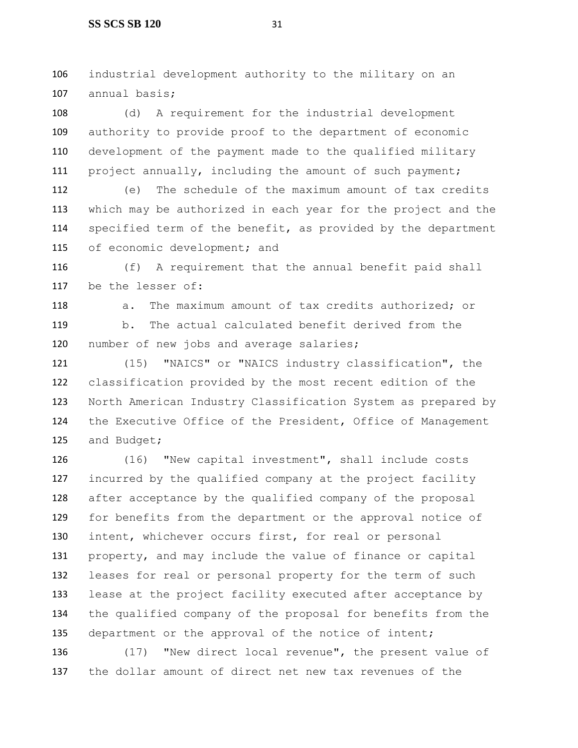industrial development authority to the military on an annual basis;

 (d) A requirement for the industrial development authority to provide proof to the department of economic development of the payment made to the qualified military project annually, including the amount of such payment;

 (e) The schedule of the maximum amount of tax credits which may be authorized in each year for the project and the specified term of the benefit, as provided by the department 115 of economic development; and

 (f) A requirement that the annual benefit paid shall be the lesser of:

118 a. The maximum amount of tax credits authorized; or b. The actual calculated benefit derived from the 120 number of new jobs and average salaries;

 (15) "NAICS" or "NAICS industry classification", the classification provided by the most recent edition of the North American Industry Classification System as prepared by the Executive Office of the President, Office of Management and Budget;

 (16) "New capital investment", shall include costs incurred by the qualified company at the project facility after acceptance by the qualified company of the proposal for benefits from the department or the approval notice of intent, whichever occurs first, for real or personal property, and may include the value of finance or capital leases for real or personal property for the term of such lease at the project facility executed after acceptance by the qualified company of the proposal for benefits from the department or the approval of the notice of intent;

 (17) "New direct local revenue", the present value of the dollar amount of direct net new tax revenues of the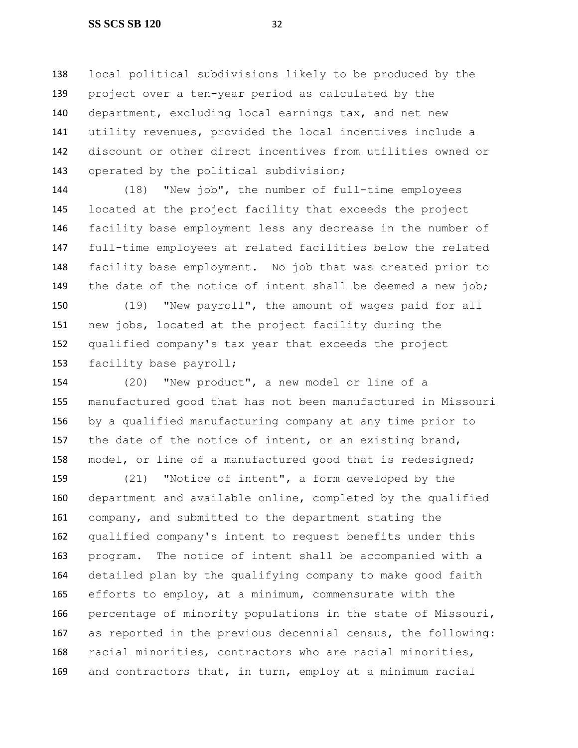local political subdivisions likely to be produced by the project over a ten-year period as calculated by the department, excluding local earnings tax, and net new utility revenues, provided the local incentives include a discount or other direct incentives from utilities owned or 143 operated by the political subdivision;

 (18) "New job", the number of full-time employees located at the project facility that exceeds the project facility base employment less any decrease in the number of full-time employees at related facilities below the related facility base employment. No job that was created prior to 149 the date of the notice of intent shall be deemed a new job;

 (19) "New payroll", the amount of wages paid for all new jobs, located at the project facility during the qualified company's tax year that exceeds the project facility base payroll;

 (20) "New product", a new model or line of a manufactured good that has not been manufactured in Missouri by a qualified manufacturing company at any time prior to 157 the date of the notice of intent, or an existing brand, model, or line of a manufactured good that is redesigned;

 (21) "Notice of intent", a form developed by the department and available online, completed by the qualified company, and submitted to the department stating the qualified company's intent to request benefits under this program. The notice of intent shall be accompanied with a detailed plan by the qualifying company to make good faith efforts to employ, at a minimum, commensurate with the percentage of minority populations in the state of Missouri, as reported in the previous decennial census, the following: racial minorities, contractors who are racial minorities, and contractors that, in turn, employ at a minimum racial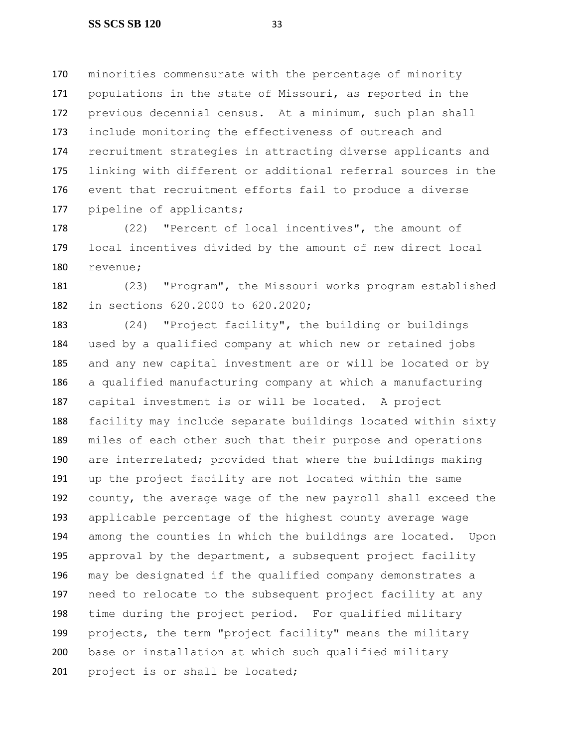minorities commensurate with the percentage of minority populations in the state of Missouri, as reported in the previous decennial census. At a minimum, such plan shall include monitoring the effectiveness of outreach and recruitment strategies in attracting diverse applicants and linking with different or additional referral sources in the event that recruitment efforts fail to produce a diverse pipeline of applicants;

 (22) "Percent of local incentives", the amount of local incentives divided by the amount of new direct local revenue;

 (23) "Program", the Missouri works program established in sections 620.2000 to 620.2020;

 (24) "Project facility", the building or buildings used by a qualified company at which new or retained jobs and any new capital investment are or will be located or by a qualified manufacturing company at which a manufacturing capital investment is or will be located. A project facility may include separate buildings located within sixty miles of each other such that their purpose and operations are interrelated; provided that where the buildings making up the project facility are not located within the same county, the average wage of the new payroll shall exceed the applicable percentage of the highest county average wage among the counties in which the buildings are located. Upon approval by the department, a subsequent project facility may be designated if the qualified company demonstrates a need to relocate to the subsequent project facility at any time during the project period. For qualified military projects, the term "project facility" means the military base or installation at which such qualified military 201 project is or shall be located;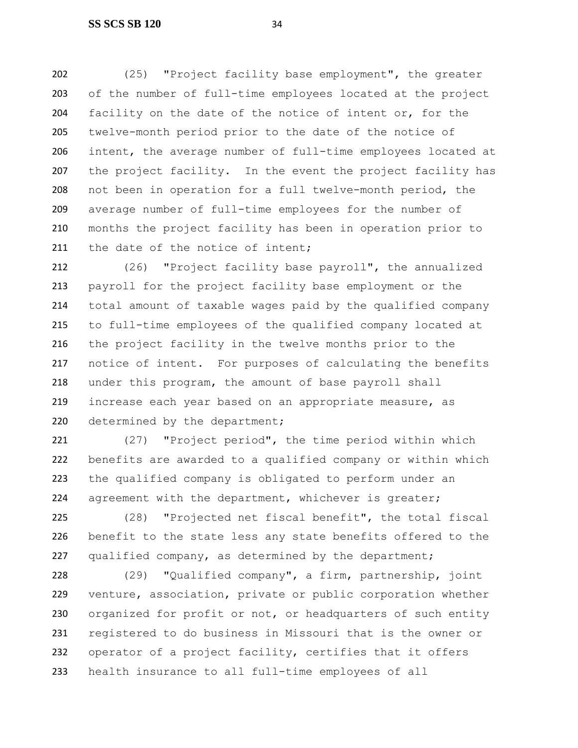(25) "Project facility base employment", the greater of the number of full-time employees located at the project facility on the date of the notice of intent or, for the twelve-month period prior to the date of the notice of intent, the average number of full-time employees located at 207 the project facility. In the event the project facility has not been in operation for a full twelve-month period, the average number of full-time employees for the number of months the project facility has been in operation prior to 211 the date of the notice of intent;

 (26) "Project facility base payroll", the annualized payroll for the project facility base employment or the total amount of taxable wages paid by the qualified company to full-time employees of the qualified company located at the project facility in the twelve months prior to the notice of intent. For purposes of calculating the benefits under this program, the amount of base payroll shall increase each year based on an appropriate measure, as 220 determined by the department;

 (27) "Project period", the time period within which benefits are awarded to a qualified company or within which the qualified company is obligated to perform under an 224 agreement with the department, whichever is greater;

 (28) "Projected net fiscal benefit", the total fiscal benefit to the state less any state benefits offered to the qualified company, as determined by the department;

 (29) "Qualified company", a firm, partnership, joint venture, association, private or public corporation whether 230 organized for profit or not, or headquarters of such entity registered to do business in Missouri that is the owner or operator of a project facility, certifies that it offers health insurance to all full-time employees of all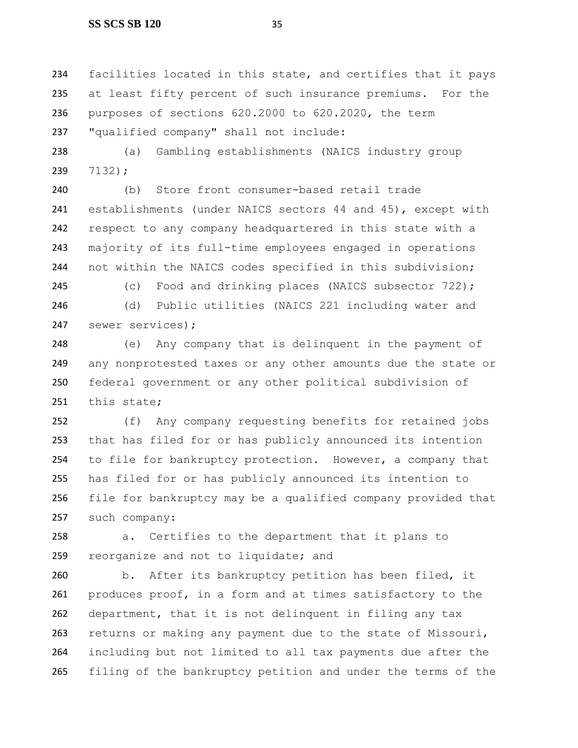234 facilities located in this state, and certifies that it pays at least fifty percent of such insurance premiums. For the purposes of sections 620.2000 to 620.2020, the term "qualified company" shall not include:

 (a) Gambling establishments (NAICS industry group 7132);

 (b) Store front consumer-based retail trade establishments (under NAICS sectors 44 and 45), except with respect to any company headquartered in this state with a majority of its full-time employees engaged in operations not within the NAICS codes specified in this subdivision;

(c) Food and drinking places (NAICS subsector 722);

 (d) Public utilities (NAICS 221 including water and sewer services);

 (e) Any company that is delinquent in the payment of any nonprotested taxes or any other amounts due the state or federal government or any other political subdivision of this state;

 (f) Any company requesting benefits for retained jobs that has filed for or has publicly announced its intention to file for bankruptcy protection. However, a company that has filed for or has publicly announced its intention to file for bankruptcy may be a qualified company provided that such company:

 a. Certifies to the department that it plans to reorganize and not to liquidate; and

 b. After its bankruptcy petition has been filed, it produces proof, in a form and at times satisfactory to the department, that it is not delinquent in filing any tax returns or making any payment due to the state of Missouri, including but not limited to all tax payments due after the filing of the bankruptcy petition and under the terms of the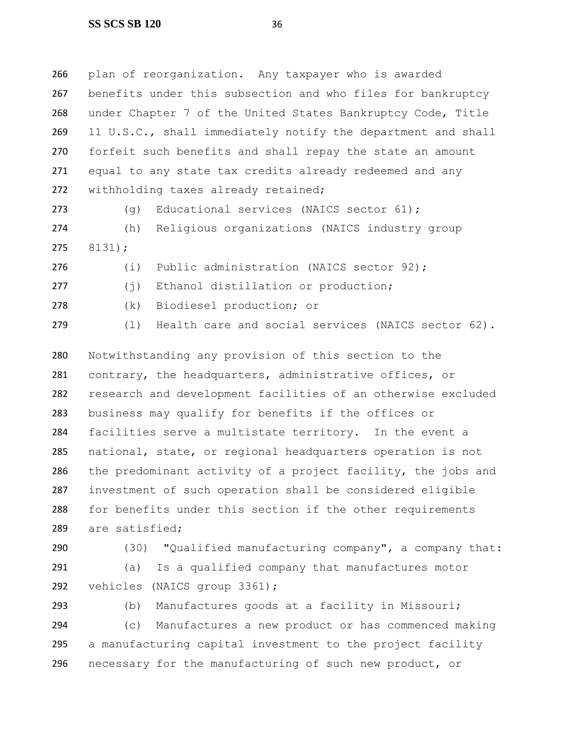plan of reorganization. Any taxpayer who is awarded benefits under this subsection and who files for bankruptcy under Chapter 7 of the United States Bankruptcy Code, Title 11 U.S.C., shall immediately notify the department and shall 270 forfeit such benefits and shall repay the state an amount equal to any state tax credits already redeemed and any withholding taxes already retained;

(g) Educational services (NAICS sector 61);

 (h) Religious organizations (NAICS industry group 8131);

(i) Public administration (NAICS sector 92);

277 (j) Ethanol distillation or production;

(k) Biodiesel production; or

(l) Health care and social services (NAICS sector 62).

 Notwithstanding any provision of this section to the contrary, the headquarters, administrative offices, or research and development facilities of an otherwise excluded business may qualify for benefits if the offices or facilities serve a multistate territory. In the event a national, state, or regional headquarters operation is not the predominant activity of a project facility, the jobs and investment of such operation shall be considered eligible for benefits under this section if the other requirements are satisfied;

 (30) "Qualified manufacturing company", a company that: (a) Is a qualified company that manufactures motor vehicles (NAICS group 3361);

 (b) Manufactures goods at a facility in Missouri; (c) Manufactures a new product or has commenced making a manufacturing capital investment to the project facility necessary for the manufacturing of such new product, or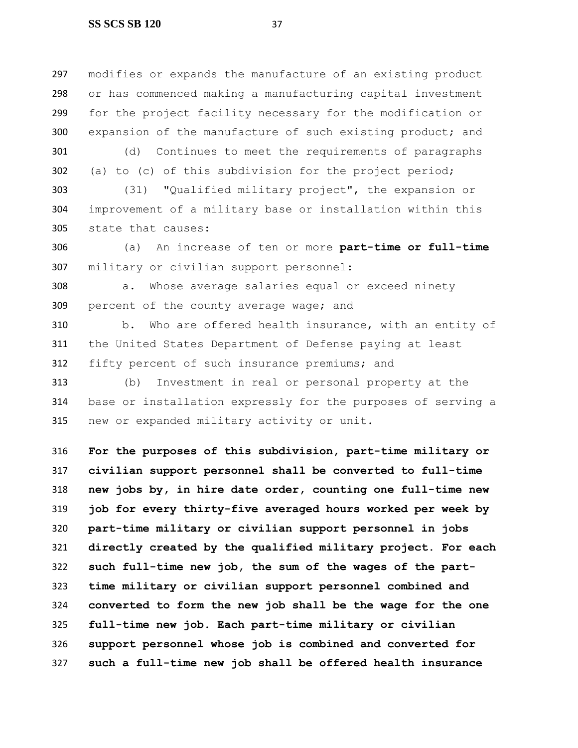modifies or expands the manufacture of an existing product or has commenced making a manufacturing capital investment for the project facility necessary for the modification or expansion of the manufacture of such existing product; and

 (d) Continues to meet the requirements of paragraphs (a) to (c) of this subdivision for the project period;

 (31) "Qualified military project", the expansion or improvement of a military base or installation within this state that causes:

 (a) An increase of ten or more **part-time or full-time** military or civilian support personnel:

 a. Whose average salaries equal or exceed ninety percent of the county average wage; and

 b. Who are offered health insurance, with an entity of the United States Department of Defense paying at least fifty percent of such insurance premiums; and

 (b) Investment in real or personal property at the base or installation expressly for the purposes of serving a new or expanded military activity or unit**.**

 **For the purposes of this subdivision, part-time military or civilian support personnel shall be converted to full-time new jobs by, in hire date order, counting one full-time new job for every thirty-five averaged hours worked per week by part-time military or civilian support personnel in jobs directly created by the qualified military project. For each such full-time new job, the sum of the wages of the part- time military or civilian support personnel combined and converted to form the new job shall be the wage for the one full-time new job. Each part-time military or civilian support personnel whose job is combined and converted for such a full-time new job shall be offered health insurance**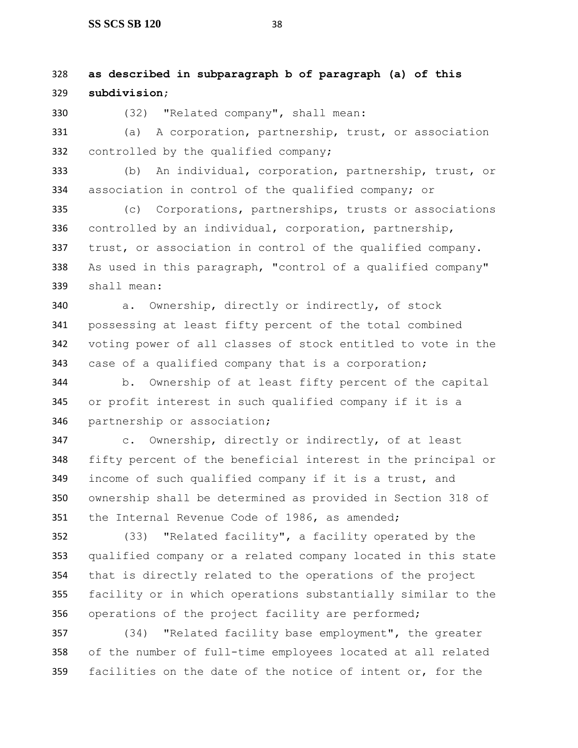## **as described in subparagraph b of paragraph (a) of this subdivision**;

(32) "Related company", shall mean:

 (a) A corporation, partnership, trust, or association controlled by the qualified company;

 (b) An individual, corporation, partnership, trust, or association in control of the qualified company; or

 (c) Corporations, partnerships, trusts or associations controlled by an individual, corporation, partnership, trust, or association in control of the qualified company. As used in this paragraph, "control of a qualified company" shall mean:

 a. Ownership, directly or indirectly, of stock possessing at least fifty percent of the total combined voting power of all classes of stock entitled to vote in the case of a qualified company that is a corporation;

 b. Ownership of at least fifty percent of the capital or profit interest in such qualified company if it is a partnership or association;

 c. Ownership, directly or indirectly, of at least fifty percent of the beneficial interest in the principal or income of such qualified company if it is a trust, and ownership shall be determined as provided in Section 318 of the Internal Revenue Code of 1986, as amended;

 (33) "Related facility", a facility operated by the qualified company or a related company located in this state that is directly related to the operations of the project facility or in which operations substantially similar to the operations of the project facility are performed;

 (34) "Related facility base employment", the greater of the number of full-time employees located at all related 359 facilities on the date of the notice of intent or, for the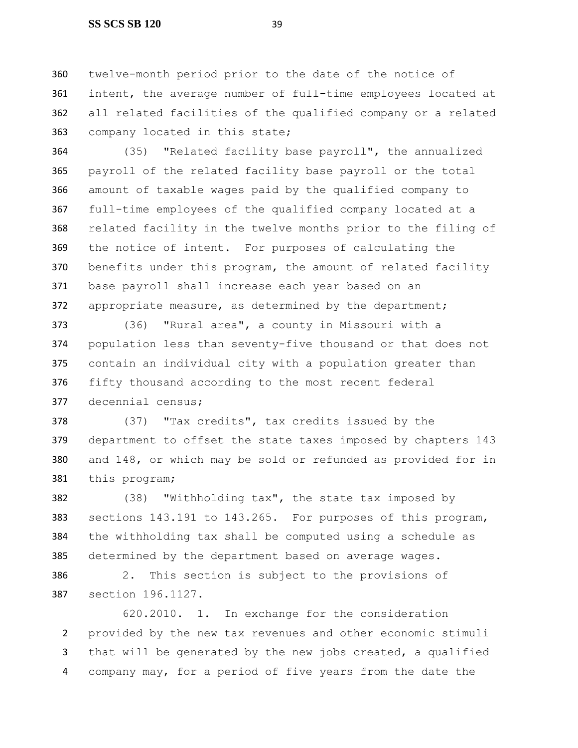#### **SS SCS SB 120** 39

 twelve-month period prior to the date of the notice of intent, the average number of full-time employees located at all related facilities of the qualified company or a related company located in this state;

 (35) "Related facility base payroll", the annualized payroll of the related facility base payroll or the total amount of taxable wages paid by the qualified company to full-time employees of the qualified company located at a related facility in the twelve months prior to the filing of the notice of intent. For purposes of calculating the benefits under this program, the amount of related facility base payroll shall increase each year based on an appropriate measure, as determined by the department;

 (36) "Rural area", a county in Missouri with a population less than seventy-five thousand or that does not contain an individual city with a population greater than fifty thousand according to the most recent federal decennial census;

 (37) "Tax credits", tax credits issued by the department to offset the state taxes imposed by chapters 143 and 148, or which may be sold or refunded as provided for in this program;

 (38) "Withholding tax", the state tax imposed by sections 143.191 to 143.265. For purposes of this program, the withholding tax shall be computed using a schedule as determined by the department based on average wages. 2. This section is subject to the provisions of

section 196.1127.

620.2010. 1. In exchange for the consideration provided by the new tax revenues and other economic stimuli that will be generated by the new jobs created, a qualified company may, for a period of five years from the date the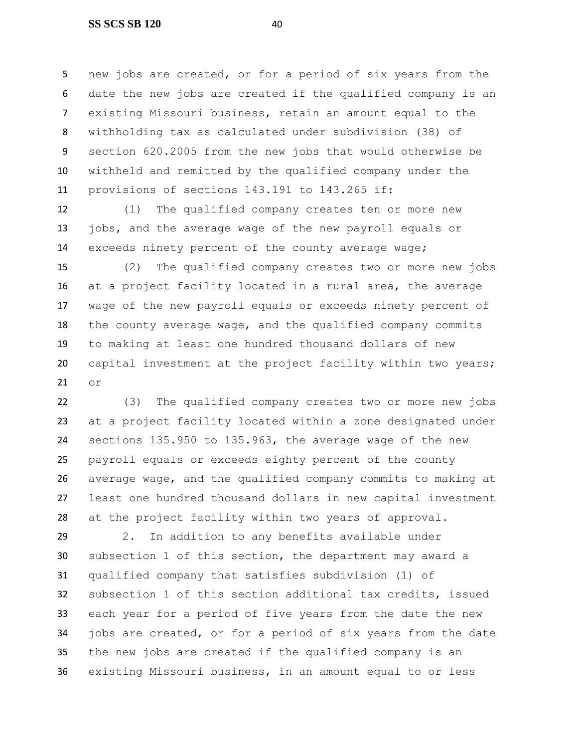#### **SS SCS SB 120** 40

 new jobs are created, or for a period of six years from the date the new jobs are created if the qualified company is an existing Missouri business, retain an amount equal to the withholding tax as calculated under subdivision (38) of section 620.2005 from the new jobs that would otherwise be withheld and remitted by the qualified company under the provisions of sections 143.191 to 143.265 if:

 (1) The qualified company creates ten or more new jobs, and the average wage of the new payroll equals or exceeds ninety percent of the county average wage;

 (2) The qualified company creates two or more new jobs at a project facility located in a rural area, the average wage of the new payroll equals or exceeds ninety percent of the county average wage, and the qualified company commits to making at least one hundred thousand dollars of new capital investment at the project facility within two years; or

 (3) The qualified company creates two or more new jobs at a project facility located within a zone designated under sections 135.950 to 135.963, the average wage of the new payroll equals or exceeds eighty percent of the county average wage, and the qualified company commits to making at least one hundred thousand dollars in new capital investment at the project facility within two years of approval.

 2. In addition to any benefits available under subsection 1 of this section, the department may award a qualified company that satisfies subdivision (1) of subsection 1 of this section additional tax credits, issued each year for a period of five years from the date the new jobs are created, or for a period of six years from the date the new jobs are created if the qualified company is an existing Missouri business, in an amount equal to or less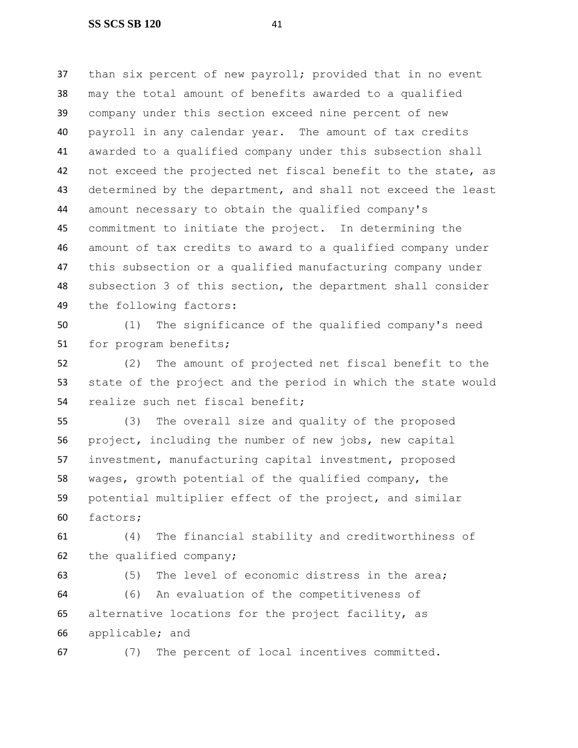than six percent of new payroll; provided that in no event may the total amount of benefits awarded to a qualified company under this section exceed nine percent of new payroll in any calendar year. The amount of tax credits awarded to a qualified company under this subsection shall 42 not exceed the projected net fiscal benefit to the state, as 43 determined by the department, and shall not exceed the least amount necessary to obtain the qualified company's commitment to initiate the project. In determining the amount of tax credits to award to a qualified company under this subsection or a qualified manufacturing company under subsection 3 of this section, the department shall consider the following factors:

 (1) The significance of the qualified company's need 51 for program benefits;

 (2) The amount of projected net fiscal benefit to the state of the project and the period in which the state would realize such net fiscal benefit;

 (3) The overall size and quality of the proposed project, including the number of new jobs, new capital investment, manufacturing capital investment, proposed wages, growth potential of the qualified company, the potential multiplier effect of the project, and similar factors;

 (4) The financial stability and creditworthiness of the qualified company;

(5) The level of economic distress in the area;

 (6) An evaluation of the competitiveness of alternative locations for the project facility, as applicable; and

(7) The percent of local incentives committed.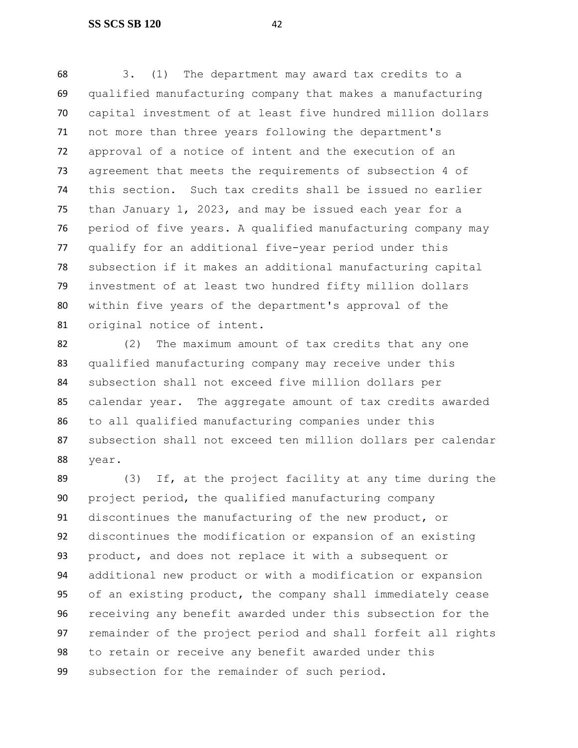3. (1) The department may award tax credits to a qualified manufacturing company that makes a manufacturing capital investment of at least five hundred million dollars not more than three years following the department's approval of a notice of intent and the execution of an agreement that meets the requirements of subsection 4 of this section. Such tax credits shall be issued no earlier than January 1, 2023, and may be issued each year for a period of five years. A qualified manufacturing company may qualify for an additional five-year period under this subsection if it makes an additional manufacturing capital investment of at least two hundred fifty million dollars within five years of the department's approval of the original notice of intent.

 (2) The maximum amount of tax credits that any one qualified manufacturing company may receive under this subsection shall not exceed five million dollars per calendar year. The aggregate amount of tax credits awarded to all qualified manufacturing companies under this subsection shall not exceed ten million dollars per calendar year.

 (3) If, at the project facility at any time during the project period, the qualified manufacturing company discontinues the manufacturing of the new product, or discontinues the modification or expansion of an existing product, and does not replace it with a subsequent or additional new product or with a modification or expansion of an existing product, the company shall immediately cease receiving any benefit awarded under this subsection for the remainder of the project period and shall forfeit all rights to retain or receive any benefit awarded under this subsection for the remainder of such period.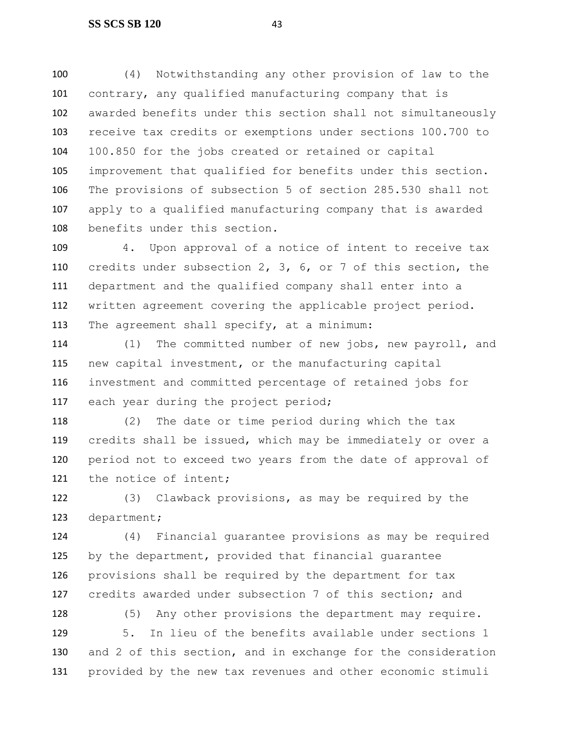(4) Notwithstanding any other provision of law to the contrary, any qualified manufacturing company that is awarded benefits under this section shall not simultaneously receive tax credits or exemptions under sections 100.700 to 100.850 for the jobs created or retained or capital improvement that qualified for benefits under this section. The provisions of subsection 5 of section 285.530 shall not apply to a qualified manufacturing company that is awarded benefits under this section.

 4. Upon approval of a notice of intent to receive tax credits under subsection 2, 3, 6, or 7 of this section, the department and the qualified company shall enter into a written agreement covering the applicable project period. The agreement shall specify, at a minimum:

 (1) The committed number of new jobs, new payroll, and new capital investment, or the manufacturing capital investment and committed percentage of retained jobs for 117 each year during the project period;

 (2) The date or time period during which the tax credits shall be issued, which may be immediately or over a period not to exceed two years from the date of approval of 121 the notice of intent;

 (3) Clawback provisions, as may be required by the department;

 (4) Financial guarantee provisions as may be required by the department, provided that financial guarantee provisions shall be required by the department for tax credits awarded under subsection 7 of this section; and

128 (5) Any other provisions the department may require. 5. In lieu of the benefits available under sections 1 and 2 of this section, and in exchange for the consideration provided by the new tax revenues and other economic stimuli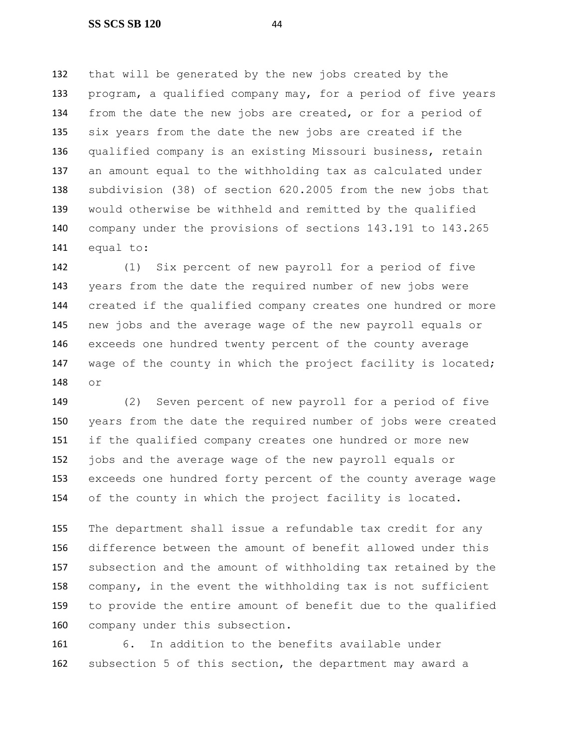that will be generated by the new jobs created by the program, a qualified company may, for a period of five years from the date the new jobs are created, or for a period of six years from the date the new jobs are created if the qualified company is an existing Missouri business, retain an amount equal to the withholding tax as calculated under subdivision (38) of section 620.2005 from the new jobs that would otherwise be withheld and remitted by the qualified company under the provisions of sections 143.191 to 143.265 equal to:

 (1) Six percent of new payroll for a period of five years from the date the required number of new jobs were created if the qualified company creates one hundred or more new jobs and the average wage of the new payroll equals or exceeds one hundred twenty percent of the county average 147 wage of the county in which the project facility is located; or

 (2) Seven percent of new payroll for a period of five years from the date the required number of jobs were created if the qualified company creates one hundred or more new jobs and the average wage of the new payroll equals or exceeds one hundred forty percent of the county average wage of the county in which the project facility is located.

 The department shall issue a refundable tax credit for any difference between the amount of benefit allowed under this subsection and the amount of withholding tax retained by the company, in the event the withholding tax is not sufficient to provide the entire amount of benefit due to the qualified company under this subsection.

 6. In addition to the benefits available under subsection 5 of this section, the department may award a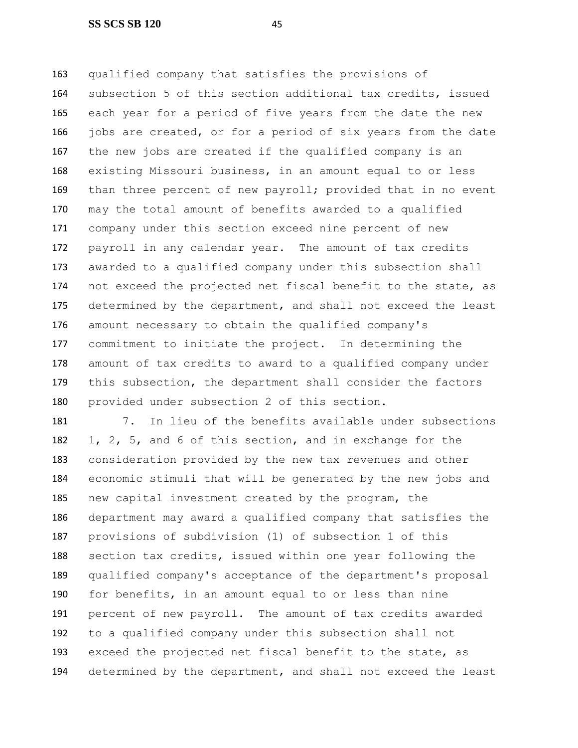qualified company that satisfies the provisions of subsection 5 of this section additional tax credits, issued each year for a period of five years from the date the new 166 jobs are created, or for a period of six years from the date the new jobs are created if the qualified company is an existing Missouri business, in an amount equal to or less 169 than three percent of new payroll; provided that in no event may the total amount of benefits awarded to a qualified company under this section exceed nine percent of new payroll in any calendar year. The amount of tax credits awarded to a qualified company under this subsection shall not exceed the projected net fiscal benefit to the state, as 175 determined by the department, and shall not exceed the least amount necessary to obtain the qualified company's commitment to initiate the project. In determining the amount of tax credits to award to a qualified company under this subsection, the department shall consider the factors provided under subsection 2 of this section.

 7. In lieu of the benefits available under subsections 1, 2, 5, and 6 of this section, and in exchange for the consideration provided by the new tax revenues and other economic stimuli that will be generated by the new jobs and new capital investment created by the program, the department may award a qualified company that satisfies the provisions of subdivision (1) of subsection 1 of this section tax credits, issued within one year following the qualified company's acceptance of the department's proposal for benefits, in an amount equal to or less than nine percent of new payroll. The amount of tax credits awarded to a qualified company under this subsection shall not exceed the projected net fiscal benefit to the state, as determined by the department, and shall not exceed the least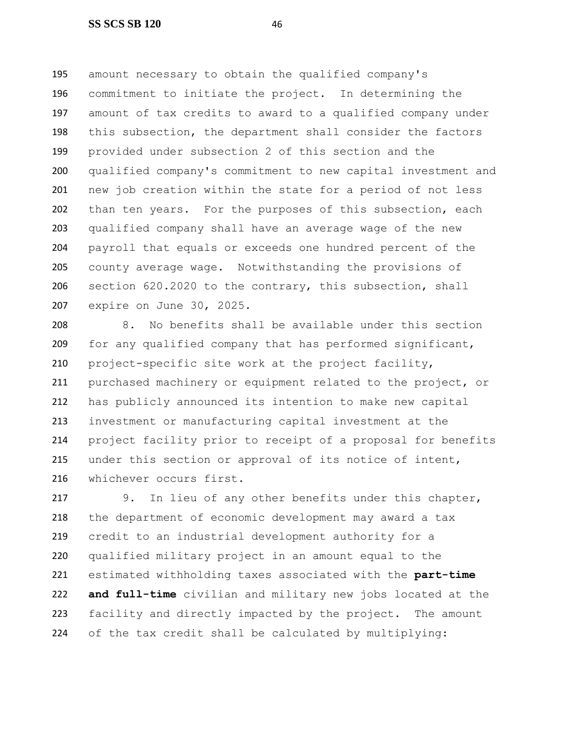amount necessary to obtain the qualified company's commitment to initiate the project. In determining the amount of tax credits to award to a qualified company under this subsection, the department shall consider the factors provided under subsection 2 of this section and the qualified company's commitment to new capital investment and new job creation within the state for a period of not less than ten years. For the purposes of this subsection, each qualified company shall have an average wage of the new payroll that equals or exceeds one hundred percent of the county average wage. Notwithstanding the provisions of section 620.2020 to the contrary, this subsection, shall expire on June 30, 2025.

 8. No benefits shall be available under this section for any qualified company that has performed significant, project-specific site work at the project facility, 211 purchased machinery or equipment related to the project, or has publicly announced its intention to make new capital investment or manufacturing capital investment at the project facility prior to receipt of a proposal for benefits under this section or approval of its notice of intent, whichever occurs first.

 9. In lieu of any other benefits under this chapter, the department of economic development may award a tax credit to an industrial development authority for a qualified military project in an amount equal to the estimated withholding taxes associated with the **part-time and full-time** civilian and military new jobs located at the facility and directly impacted by the project. The amount of the tax credit shall be calculated by multiplying: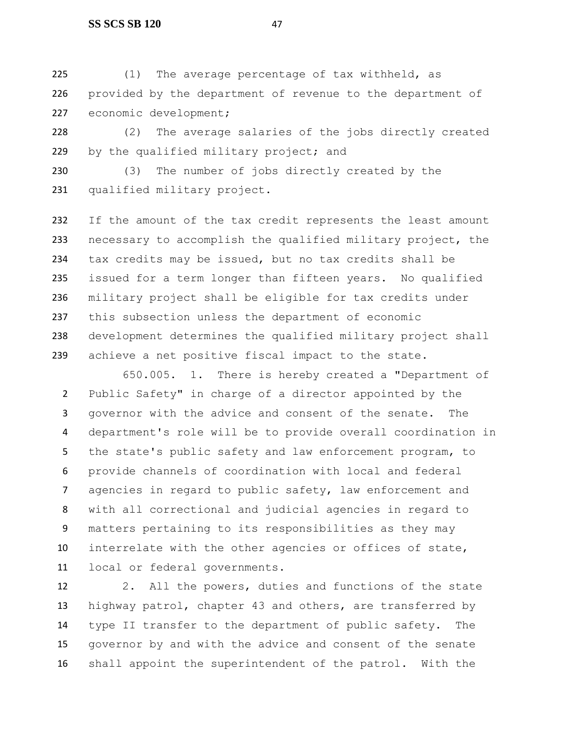#### **SS SCS SB 120** 47

 (1) The average percentage of tax withheld, as provided by the department of revenue to the department of 227 economic development;

 (2) The average salaries of the jobs directly created 229 by the qualified military project; and

 (3) The number of jobs directly created by the qualified military project.

 If the amount of the tax credit represents the least amount necessary to accomplish the qualified military project, the tax credits may be issued, but no tax credits shall be issued for a term longer than fifteen years. No qualified military project shall be eligible for tax credits under this subsection unless the department of economic development determines the qualified military project shall achieve a net positive fiscal impact to the state.

650.005. 1. There is hereby created a "Department of Public Safety" in charge of a director appointed by the governor with the advice and consent of the senate. The department's role will be to provide overall coordination in the state's public safety and law enforcement program, to provide channels of coordination with local and federal agencies in regard to public safety, law enforcement and with all correctional and judicial agencies in regard to matters pertaining to its responsibilities as they may interrelate with the other agencies or offices of state, local or federal governments.

 2. All the powers, duties and functions of the state highway patrol, chapter 43 and others, are transferred by type II transfer to the department of public safety. The governor by and with the advice and consent of the senate shall appoint the superintendent of the patrol. With the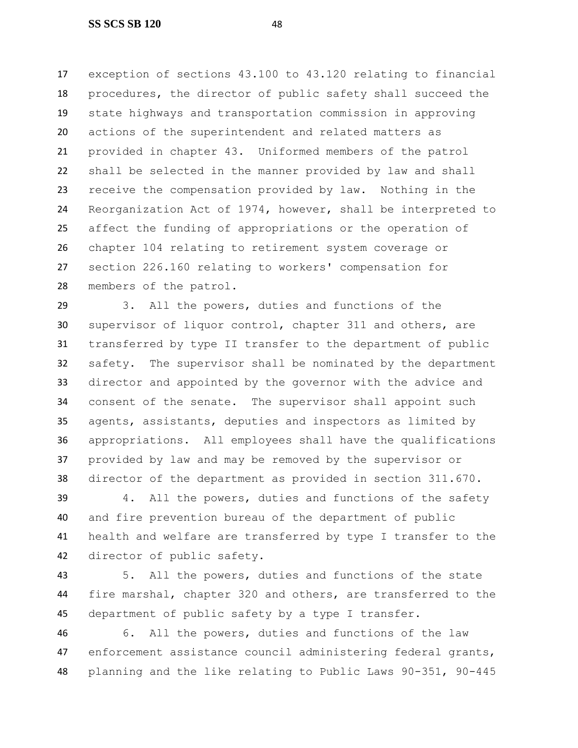exception of sections 43.100 to 43.120 relating to financial procedures, the director of public safety shall succeed the state highways and transportation commission in approving actions of the superintendent and related matters as provided in chapter 43. Uniformed members of the patrol shall be selected in the manner provided by law and shall receive the compensation provided by law. Nothing in the Reorganization Act of 1974, however, shall be interpreted to affect the funding of appropriations or the operation of chapter 104 relating to retirement system coverage or section 226.160 relating to workers' compensation for members of the patrol.

 3. All the powers, duties and functions of the supervisor of liquor control, chapter 311 and others, are transferred by type II transfer to the department of public safety. The supervisor shall be nominated by the department director and appointed by the governor with the advice and consent of the senate. The supervisor shall appoint such agents, assistants, deputies and inspectors as limited by appropriations. All employees shall have the qualifications provided by law and may be removed by the supervisor or director of the department as provided in section 311.670.

 4. All the powers, duties and functions of the safety and fire prevention bureau of the department of public health and welfare are transferred by type I transfer to the director of public safety.

 5. All the powers, duties and functions of the state fire marshal, chapter 320 and others, are transferred to the department of public safety by a type I transfer.

 6. All the powers, duties and functions of the law enforcement assistance council administering federal grants, planning and the like relating to Public Laws 90-351, 90-445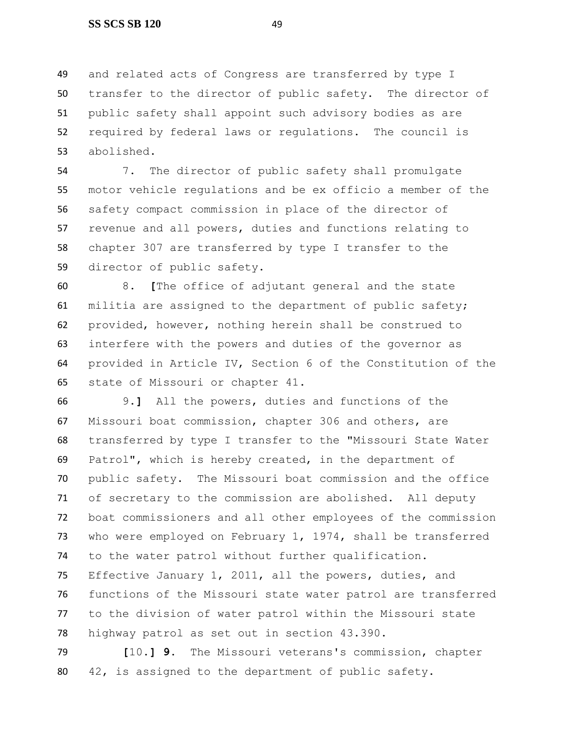and related acts of Congress are transferred by type I transfer to the director of public safety. The director of public safety shall appoint such advisory bodies as are required by federal laws or regulations. The council is abolished.

 7. The director of public safety shall promulgate motor vehicle regulations and be ex officio a member of the safety compact commission in place of the director of revenue and all powers, duties and functions relating to chapter 307 are transferred by type I transfer to the director of public safety.

 8. **[**The office of adjutant general and the state militia are assigned to the department of public safety; provided, however, nothing herein shall be construed to interfere with the powers and duties of the governor as provided in Article IV, Section 6 of the Constitution of the state of Missouri or chapter 41.

 9.**]** All the powers, duties and functions of the Missouri boat commission, chapter 306 and others, are transferred by type I transfer to the "Missouri State Water Patrol", which is hereby created, in the department of public safety. The Missouri boat commission and the office of secretary to the commission are abolished. All deputy boat commissioners and all other employees of the commission who were employed on February 1, 1974, shall be transferred to the water patrol without further qualification. Effective January 1, 2011, all the powers, duties, and functions of the Missouri state water patrol are transferred to the division of water patrol within the Missouri state highway patrol as set out in section 43.390.

 **[**10.**] 9.** The Missouri veterans's commission, chapter 42, is assigned to the department of public safety.